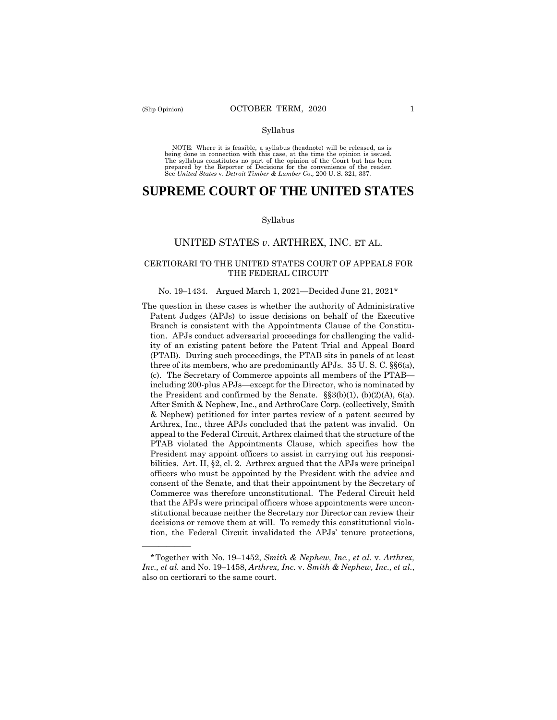——————

#### Syllabus

NOTE: Where it is feasible, a syllabus (headnote) will be released, as is being done in connection with this case, at the time the opinion is issued. The syllabus constitutes no part of the opinion of the Court but has been<br>prepared by the Reporter of Decisions for the convenience of the reader.<br>See United States v. Detroit Timber & Lumber Co., 200 U.S. 321, 337.

# **SUPREME COURT OF THE UNITED STATES**

#### Syllabus

## UNITED STATES *v*. ARTHREX, INC. ET AL.

### CERTIORARI TO THE UNITED STATES COURT OF APPEALS FOR THE FEDERAL CIRCUIT

#### No. 19–1434. Argued March 1, 2021—Decided June 21, 2021\*

The question in these cases is whether the authority of Administrative Patent Judges (APJs) to issue decisions on behalf of the Executive Branch is consistent with the Appointments Clause of the Constitution. APJs conduct adversarial proceedings for challenging the validity of an existing patent before the Patent Trial and Appeal Board (PTAB). During such proceedings, the PTAB sits in panels of at least three of its members, who are predominantly APJs. 35 U. S. C. §§6(a), (c). The Secretary of Commerce appoints all members of the PTAB including 200-plus APJs—except for the Director, who is nominated by the President and confirmed by the Senate.  $\S$ §3(b)(1), (b)(2)(A), 6(a). After Smith & Nephew, Inc., and ArthroCare Corp. (collectively, Smith & Nephew) petitioned for inter partes review of a patent secured by Arthrex, Inc., three APJs concluded that the patent was invalid. On appeal to the Federal Circuit, Arthrex claimed that the structure of the PTAB violated the Appointments Clause, which specifies how the President may appoint officers to assist in carrying out his responsibilities. Art. II, §2, cl. 2. Arthrex argued that the APJs were principal officers who must be appointed by the President with the advice and consent of the Senate, and that their appointment by the Secretary of Commerce was therefore unconstitutional. The Federal Circuit held that the APJs were principal officers whose appointments were unconstitutional because neither the Secretary nor Director can review their decisions or remove them at will. To remedy this constitutional violation, the Federal Circuit invalidated the APJs' tenure protections,

<sup>\*</sup>Together with No. 19–1452, *Smith & Nephew, Inc., et al*. v. *Arthrex, Inc., et al.* and No. 19–1458, *Arthrex, Inc.* v. *Smith & Nephew, Inc., et al.*, also on certiorari to the same court.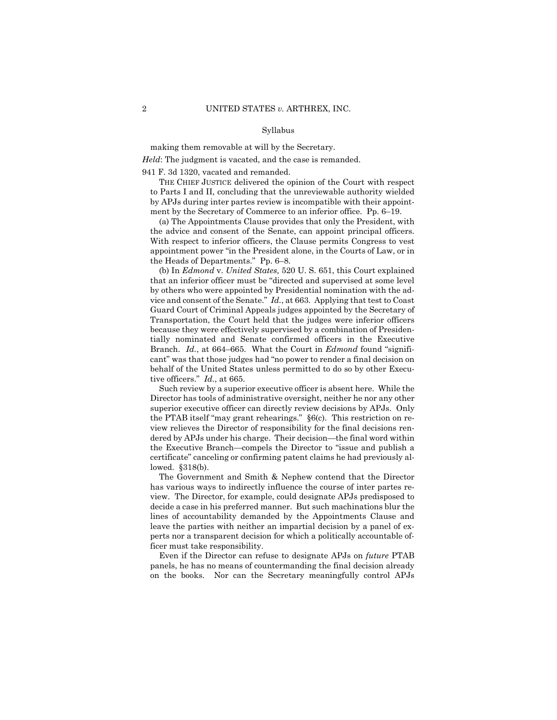#### Syllabus

making them removable at will by the Secretary.

*Held*: The judgment is vacated, and the case is remanded.

941 F. 3d 1320, vacated and remanded.

 by APJs during inter partes review is incompatible with their appoint-THE CHIEF JUSTICE delivered the opinion of the Court with respect to Parts I and II, concluding that the unreviewable authority wielded ment by the Secretary of Commerce to an inferior office. Pp. 6–19.

(a) The Appointments Clause provides that only the President, with the advice and consent of the Senate, can appoint principal officers. With respect to inferior officers, the Clause permits Congress to vest appointment power "in the President alone, in the Courts of Law, or in the Heads of Departments." Pp. 6–8.

 Branch. *Id.*, at 664–665. What the Court in *Edmond* found "signifi- tive officers." *Id.*, at 665. (b) In *Edmond* v. *United States,* 520 U. S. 651, this Court explained that an inferior officer must be "directed and supervised at some level by others who were appointed by Presidential nomination with the advice and consent of the Senate." *Id.*, at 663. Applying that test to Coast Guard Court of Criminal Appeals judges appointed by the Secretary of Transportation, the Court held that the judges were inferior officers because they were effectively supervised by a combination of Presidentially nominated and Senate confirmed officers in the Executive cant" was that those judges had "no power to render a final decision on behalf of the United States unless permitted to do so by other Execu-

Such review by a superior executive officer is absent here. While the Director has tools of administrative oversight, neither he nor any other superior executive officer can directly review decisions by APJs. Only the PTAB itself "may grant rehearings." §6(c). This restriction on review relieves the Director of responsibility for the final decisions rendered by APJs under his charge. Their decision—the final word within the Executive Branch—compels the Director to "issue and publish a certificate" canceling or confirming patent claims he had previously allowed. §318(b).

The Government and Smith & Nephew contend that the Director has various ways to indirectly influence the course of inter partes review. The Director, for example, could designate APJs predisposed to decide a case in his preferred manner. But such machinations blur the lines of accountability demanded by the Appointments Clause and leave the parties with neither an impartial decision by a panel of experts nor a transparent decision for which a politically accountable officer must take responsibility.

Even if the Director can refuse to designate APJs on *future* PTAB panels, he has no means of countermanding the final decision already on the books. Nor can the Secretary meaningfully control APJs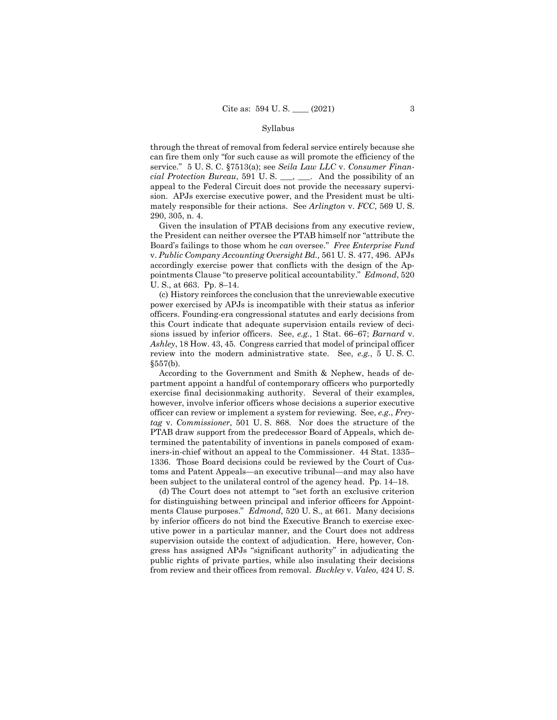### Syllabus

through the threat of removal from federal service entirely because she can fire them only "for such cause as will promote the efficiency of the service." 5 U. S. C. §7513(a); see *Seila Law LLC* v. *Consumer Financial Protection Bureau*, 591 U. S. \_\_\_, \_\_\_. And the possibility of an appeal to the Federal Circuit does not provide the necessary supervision. APJs exercise executive power, and the President must be ultimately responsible for their actions. See *Arlington* v. *FCC*, 569 U. S. 290, 305, n. 4.

Given the insulation of PTAB decisions from any executive review, the President can neither oversee the PTAB himself nor "attribute the Board's failings to those whom he *can* oversee." *Free Enterprise Fund*  v. *Public Company Accounting Oversight Bd.,* 561 U. S. 477, 496. APJs accordingly exercise power that conflicts with the design of the Appointments Clause "to preserve political accountability." *Edmond*, 520 U. S., at 663. Pp. 8–14.

(c) History reinforces the conclusion that the unreviewable executive power exercised by APJs is incompatible with their status as inferior officers. Founding-era congressional statutes and early decisions from this Court indicate that adequate supervision entails review of decisions issued by inferior officers. See, *e.g.*, 1 Stat. 66–67; *Barnard* v. *Ashley*, 18 How. 43, 45. Congress carried that model of principal officer review into the modern administrative state. See, *e.g.*, 5 U. S. C. §557(b).

According to the Government and Smith & Nephew, heads of department appoint a handful of contemporary officers who purportedly exercise final decisionmaking authority. Several of their examples, however, involve inferior officers whose decisions a superior executive officer can review or implement a system for reviewing. See, *e.g.*, *Freytag* v. *Commissioner*, 501 U. S. 868. Nor does the structure of the PTAB draw support from the predecessor Board of Appeals, which determined the patentability of inventions in panels composed of examiners-in-chief without an appeal to the Commissioner. 44 Stat. 1335– 1336. Those Board decisions could be reviewed by the Court of Customs and Patent Appeals—an executive tribunal—and may also have been subject to the unilateral control of the agency head. Pp. 14–18.

(d) The Court does not attempt to "set forth an exclusive criterion for distinguishing between principal and inferior officers for Appointments Clause purposes." *Edmond*, 520 U. S., at 661. Many decisions by inferior officers do not bind the Executive Branch to exercise executive power in a particular manner, and the Court does not address supervision outside the context of adjudication. Here, however, Congress has assigned APJs "significant authority" in adjudicating the public rights of private parties, while also insulating their decisions from review and their offices from removal. *Buckley* v. *Valeo,* 424 U. S.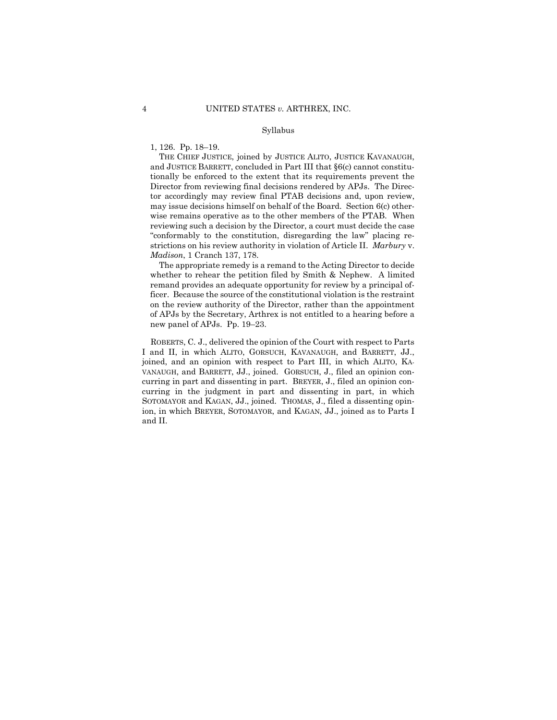#### Syllabus

1, 126. Pp. 18–19.

THE CHIEF JUSTICE, joined by JUSTICE ALITO, JUSTICE KAVANAUGH, and JUSTICE BARRETT, concluded in Part III that §6(c) cannot constitutionally be enforced to the extent that its requirements prevent the Director from reviewing final decisions rendered by APJs. The Director accordingly may review final PTAB decisions and, upon review, may issue decisions himself on behalf of the Board. Section 6(c) otherwise remains operative as to the other members of the PTAB. When reviewing such a decision by the Director, a court must decide the case "conformably to the constitution, disregarding the law" placing restrictions on his review authority in violation of Article II. *Marbury* v. *Madison*, 1 Cranch 137, 178.

 of APJs by the Secretary, Arthrex is not entitled to a hearing before a The appropriate remedy is a remand to the Acting Director to decide whether to rehear the petition filed by Smith & Nephew. A limited remand provides an adequate opportunity for review by a principal officer. Because the source of the constitutional violation is the restraint on the review authority of the Director, rather than the appointment new panel of APJs. Pp. 19–23.

 ROBERTS, C. J., delivered the opinion of the Court with respect to Parts I and II, in which ALITO, GORSUCH, KAVANAUGH, and BARRETT, JJ., joined, and an opinion with respect to Part III, in which ALITO, KA-VANAUGH, and BARRETT, JJ., joined. GORSUCH, J., filed an opinion concurring in part and dissenting in part. BREYER, J., filed an opinion concurring in the judgment in part and dissenting in part, in which SOTOMAYOR and KAGAN, JJ., joined. THOMAS, J., filed a dissenting opinion, in which BREYER, SOTOMAYOR, and KAGAN, JJ., joined as to Parts I and II.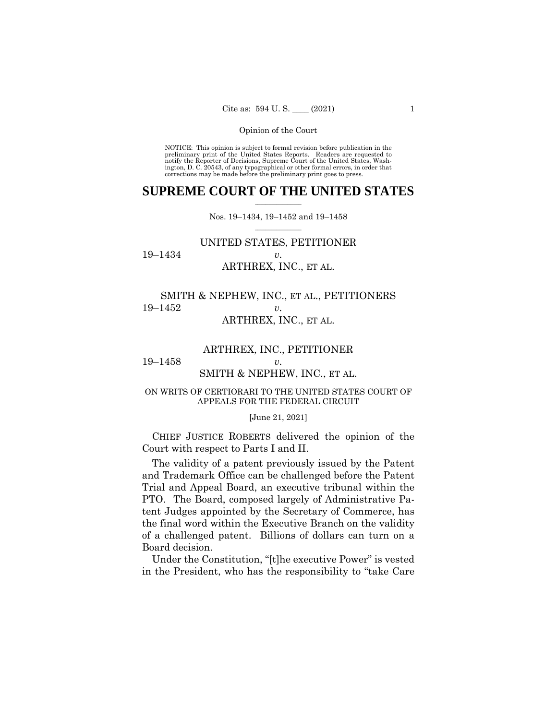NOTICE: This opinion is subject to formal revision before publication in the preliminary print of the United States Reports. Readers are requested to notify the Reporter of Decisions, Supreme Court of the United States, Wash-ington, D. C. 20543, of any typographical or other formal errors, in order that corrections may be made before the preliminary print goes to press.

## $\frac{1}{2}$  , where  $\frac{1}{2}$ **SUPREME COURT OF THE UNITED STATES**

 $\frac{1}{2}$  ,  $\frac{1}{2}$  ,  $\frac{1}{2}$  ,  $\frac{1}{2}$  ,  $\frac{1}{2}$  ,  $\frac{1}{2}$ Nos. 19–1434, 19–1452 and 19–1458

## UNITED STATES, PETITIONER 19–1434 *v.*  ARTHREX, INC., ET AL.

# SMITH & NEPHEW, INC., ET AL., PETITIONERS 19–1452 *v.*  ARTHREX, INC., ET AL.

## ARTHREX, INC., PETITIONER

19–1458 *v.* 

## SMITH & NEPHEW, INC., ET AL.

## ON WRITS OF CERTIORARI TO THE UNITED STATES COURT OF APPEALS FOR THE FEDERAL CIRCUIT

#### [June 21, 2021]

 CHIEF JUSTICE ROBERTS delivered the opinion of the Court with respect to Parts I and II.

The validity of a patent previously issued by the Patent and Trademark Office can be challenged before the Patent Trial and Appeal Board, an executive tribunal within the PTO. The Board, composed largely of Administrative Patent Judges appointed by the Secretary of Commerce, has the final word within the Executive Branch on the validity of a challenged patent. Billions of dollars can turn on a Board decision.

Under the Constitution, "[t]he executive Power" is vested in the President, who has the responsibility to "take Care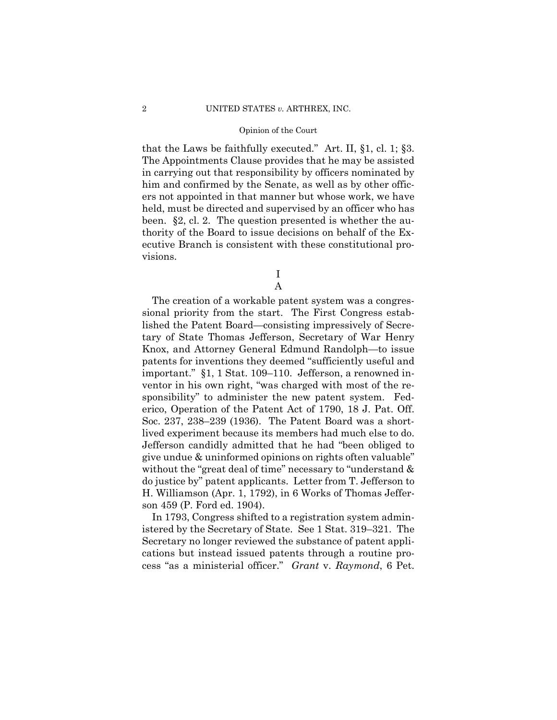that the Laws be faithfully executed." Art. II, §1, cl. 1; §3. The Appointments Clause provides that he may be assisted in carrying out that responsibility by officers nominated by him and confirmed by the Senate, as well as by other officers not appointed in that manner but whose work, we have held, must be directed and supervised by an officer who has been. §2, cl. 2. The question presented is whether the authority of the Board to issue decisions on behalf of the Executive Branch is consistent with these constitutional provisions.

> I A

The creation of a workable patent system was a congressional priority from the start. The First Congress established the Patent Board—consisting impressively of Secretary of State Thomas Jefferson, Secretary of War Henry Knox, and Attorney General Edmund Randolph—to issue patents for inventions they deemed "sufficiently useful and important." §1, 1 Stat. 109–110. Jefferson, a renowned inventor in his own right, "was charged with most of the responsibility" to administer the new patent system. Federico, Operation of the Patent Act of 1790, 18 J. Pat. Off. Soc. 237, 238–239 (1936). The Patent Board was a shortlived experiment because its members had much else to do. Jefferson candidly admitted that he had "been obliged to give undue & uninformed opinions on rights often valuable" without the "great deal of time" necessary to "understand  $\&$ do justice by" patent applicants. Letter from T. Jefferson to H. Williamson (Apr. 1, 1792), in 6 Works of Thomas Jefferson 459 (P. Ford ed. 1904).

In 1793, Congress shifted to a registration system administered by the Secretary of State. See 1 Stat. 319–321. The Secretary no longer reviewed the substance of patent applications but instead issued patents through a routine process "as a ministerial officer." *Grant* v. *Raymond*, 6 Pet.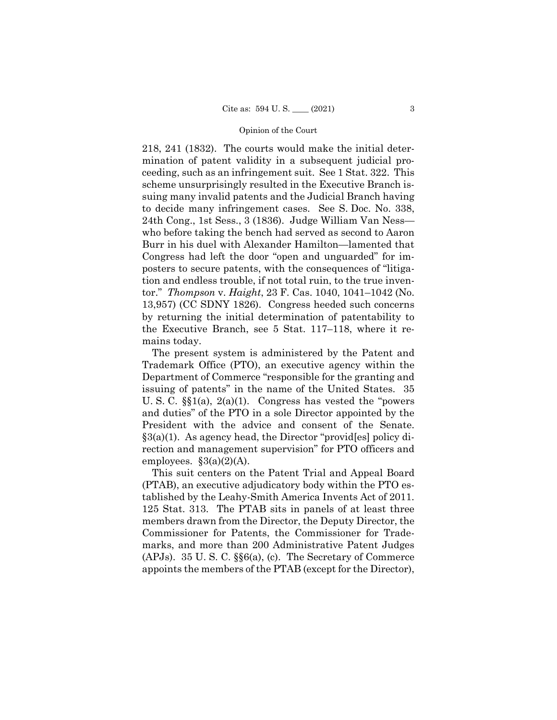218, 241 (1832). The courts would make the initial determination of patent validity in a subsequent judicial proceeding, such as an infringement suit. See 1 Stat. 322. This scheme unsurprisingly resulted in the Executive Branch issuing many invalid patents and the Judicial Branch having to decide many infringement cases. See S. Doc. No. 338, 24th Cong., 1st Sess., 3 (1836). Judge William Van Ness who before taking the bench had served as second to Aaron Burr in his duel with Alexander Hamilton—lamented that Congress had left the door "open and unguarded" for imposters to secure patents, with the consequences of "litigation and endless trouble, if not total ruin, to the true inventor." *Thompson* v. *Haight*, 23 F. Cas. 1040, 1041–1042 (No. 13,957) (CC SDNY 1826). Congress heeded such concerns by returning the initial determination of patentability to the Executive Branch, see 5 Stat. 117–118, where it remains today.

The present system is administered by the Patent and Trademark Office (PTO), an executive agency within the Department of Commerce "responsible for the granting and issuing of patents" in the name of the United States. 35 U. S. C. §§1(a), 2(a)(1). Congress has vested the "powers and duties" of the PTO in a sole Director appointed by the President with the advice and consent of the Senate. §3(a)(1). As agency head, the Director "provid[es] policy direction and management supervision" for PTO officers and employees.  $\S3(a)(2)(A)$ .

 tablished by the Leahy-Smith America Invents Act of 2011. This suit centers on the Patent Trial and Appeal Board (PTAB), an executive adjudicatory body within the PTO es-125 Stat. 313. The PTAB sits in panels of at least three members drawn from the Director, the Deputy Director, the Commissioner for Patents, the Commissioner for Trademarks, and more than 200 Administrative Patent Judges (APJs). 35 U. S. C. §§6(a), (c). The Secretary of Commerce appoints the members of the PTAB (except for the Director),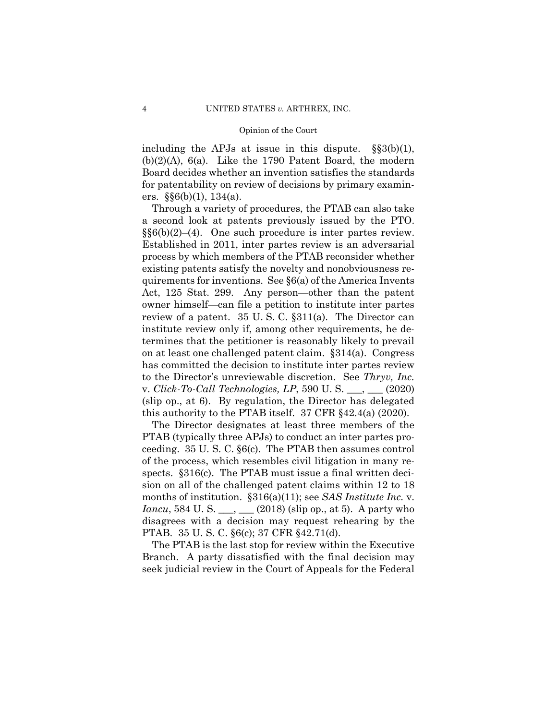including the APJs at issue in this dispute.  $\S(36b)(1)$ ,  $(b)(2)(A)$ ,  $6(a)$ . Like the 1790 Patent Board, the modern Board decides whether an invention satisfies the standards for patentability on review of decisions by primary examiners.  $\S(6(b)(1), 134(a)$ .

Through a variety of procedures, the PTAB can also take a second look at patents previously issued by the PTO.  $\S(66b)(2)$ –(4). One such procedure is inter partes review. Established in 2011, inter partes review is an adversarial process by which members of the PTAB reconsider whether existing patents satisfy the novelty and nonobviousness requirements for inventions. See §6(a) of the America Invents Act, 125 Stat. 299. Any person—other than the patent owner himself—can file a petition to institute inter partes review of a patent. 35 U. S. C. §311(a). The Director can institute review only if, among other requirements, he determines that the petitioner is reasonably likely to prevail on at least one challenged patent claim. §314(a). Congress has committed the decision to institute inter partes review to the Director's unreviewable discretion. See *Thryv, Inc.*  v. *Click-To-Call Technologies, LP*, 590 U. S. \_\_\_, \_\_\_ (2020) (slip op., at 6). By regulation, the Director has delegated this authority to the PTAB itself. 37 CFR §42.4(a) (2020).

The Director designates at least three members of the PTAB (typically three APJs) to conduct an inter partes proceeding. 35 U. S. C. §6(c). The PTAB then assumes control of the process, which resembles civil litigation in many respects. §316(c). The PTAB must issue a final written decision on all of the challenged patent claims within 12 to 18 months of institution. §316(a)(11); see *SAS Institute Inc.* v. *Iancu*, 584 U. S. \_\_\_, \_\_\_ (2018) (slip op., at 5). A party who disagrees with a decision may request rehearing by the PTAB. 35 U. S. C. §6(c); 37 CFR §42.71(d).

The PTAB is the last stop for review within the Executive Branch. A party dissatisfied with the final decision may seek judicial review in the Court of Appeals for the Federal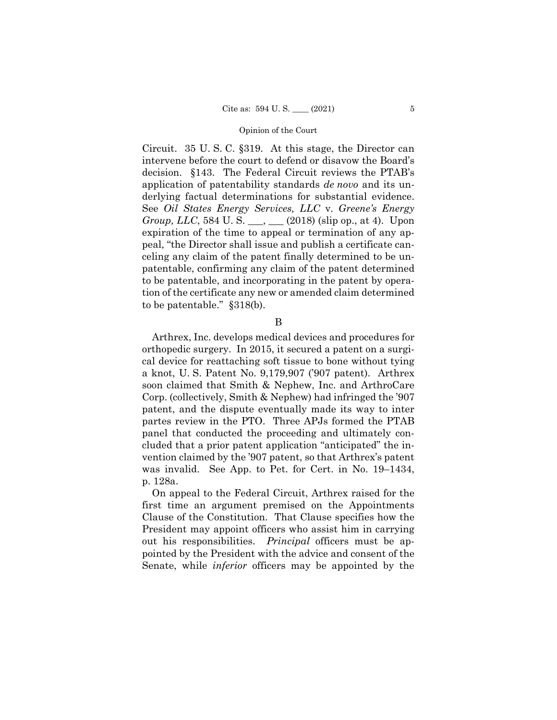Circuit. 35 U. S. C. §319. At this stage, the Director can intervene before the court to defend or disavow the Board's decision. §143. The Federal Circuit reviews the PTAB's application of patentability standards *de novo* and its underlying factual determinations for substantial evidence. See *Oil States Energy Services, LLC* v. *Greene's Energy Group, LLC*, 584 U. S. \_\_\_, \_\_\_ (2018) (slip op., at 4). Upon expiration of the time to appeal or termination of any appeal, "the Director shall issue and publish a certificate canceling any claim of the patent finally determined to be unpatentable, confirming any claim of the patent determined to be patentable, and incorporating in the patent by operation of the certificate any new or amended claim determined to be patentable." §318(b).

B

Arthrex, Inc. develops medical devices and procedures for orthopedic surgery. In 2015, it secured a patent on a surgical device for reattaching soft tissue to bone without tying a knot, U. S. Patent No. 9,179,907 ('907 patent). Arthrex soon claimed that Smith & Nephew, Inc. and ArthroCare Corp. (collectively, Smith & Nephew) had infringed the '907 patent, and the dispute eventually made its way to inter partes review in the PTO. Three APJs formed the PTAB panel that conducted the proceeding and ultimately concluded that a prior patent application "anticipated" the invention claimed by the '907 patent, so that Arthrex's patent was invalid. See App. to Pet. for Cert. in No. 19–1434, p. 128a.

On appeal to the Federal Circuit, Arthrex raised for the first time an argument premised on the Appointments Clause of the Constitution. That Clause specifies how the President may appoint officers who assist him in carrying out his responsibilities. *Principal* officers must be appointed by the President with the advice and consent of the Senate, while *inferior* officers may be appointed by the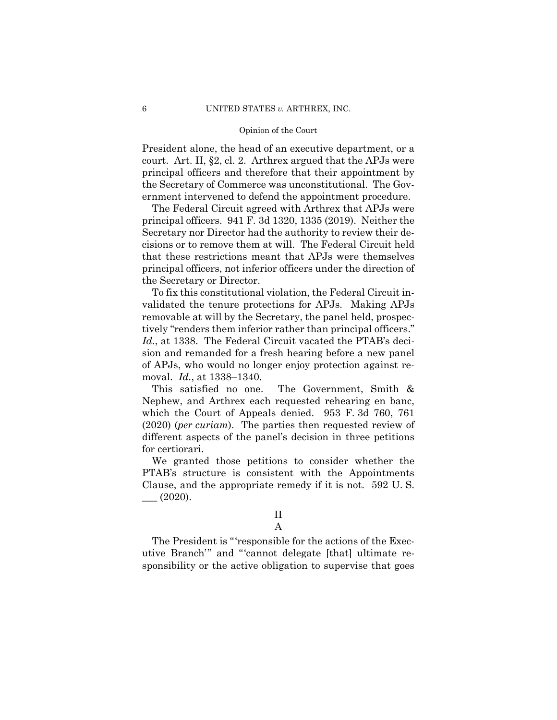President alone, the head of an executive department, or a court. Art. II, §2, cl. 2. Arthrex argued that the APJs were principal officers and therefore that their appointment by the Secretary of Commerce was unconstitutional. The Government intervened to defend the appointment procedure.

The Federal Circuit agreed with Arthrex that APJs were principal officers. 941 F. 3d 1320, 1335 (2019). Neither the Secretary nor Director had the authority to review their decisions or to remove them at will. The Federal Circuit held that these restrictions meant that APJs were themselves principal officers, not inferior officers under the direction of the Secretary or Director.

To fix this constitutional violation, the Federal Circuit invalidated the tenure protections for APJs. Making APJs removable at will by the Secretary, the panel held, prospectively "renders them inferior rather than principal officers." *Id.*, at 1338. The Federal Circuit vacated the PTAB's decision and remanded for a fresh hearing before a new panel of APJs, who would no longer enjoy protection against removal. *Id.*, at 1338–1340.

This satisfied no one. The Government, Smith & Nephew, and Arthrex each requested rehearing en banc, which the Court of Appeals denied. 953 F. 3d 760, 761 (2020) (*per curiam*). The parties then requested review of different aspects of the panel's decision in three petitions for certiorari.

We granted those petitions to consider whether the PTAB's structure is consistent with the Appointments Clause, and the appropriate remedy if it is not. 592 U. S.  $\_\_$  $(2020).$ 

A

The President is "'responsible for the actions of the Executive Branch'" and "'cannot delegate [that] ultimate responsibility or the active obligation to supervise that goes

II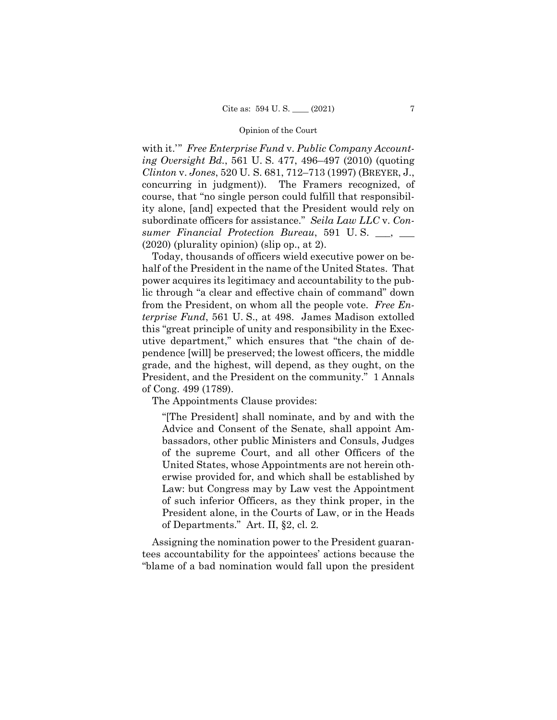with it.'" *Free Enterprise Fund* v. *Public Company Accounting Oversight Bd.*, 561 U. S. 477, 496–497 (2010) (quoting *Clinton* v. *Jones*, 520 U. S. 681, 712–713 (1997) (BREYER, J., concurring in judgment)). The Framers recognized, of course, that "no single person could fulfill that responsibility alone, [and] expected that the President would rely on subordinate officers for assistance." *Seila Law LLC* v. *Consumer Financial Protection Bureau*, 591 U. S. \_\_\_, \_\_\_ (2020) (plurality opinion) (slip op., at 2).

Today, thousands of officers wield executive power on behalf of the President in the name of the United States. That power acquires its legitimacy and accountability to the public through "a clear and effective chain of command" down from the President, on whom all the people vote. *Free Enterprise Fund*, 561 U. S., at 498. James Madison extolled this "great principle of unity and responsibility in the Executive department," which ensures that "the chain of dependence [will] be preserved; the lowest officers, the middle grade, and the highest, will depend, as they ought, on the President, and the President on the community." 1 Annals of Cong. 499 (1789).

The Appointments Clause provides:

"[The President] shall nominate, and by and with the Advice and Consent of the Senate, shall appoint Ambassadors, other public Ministers and Consuls, Judges of the supreme Court, and all other Officers of the United States, whose Appointments are not herein otherwise provided for, and which shall be established by Law: but Congress may by Law vest the Appointment of such inferior Officers, as they think proper, in the President alone, in the Courts of Law, or in the Heads of Departments." Art. II, §2, cl. 2*.* 

Assigning the nomination power to the President guarantees accountability for the appointees' actions because the "blame of a bad nomination would fall upon the president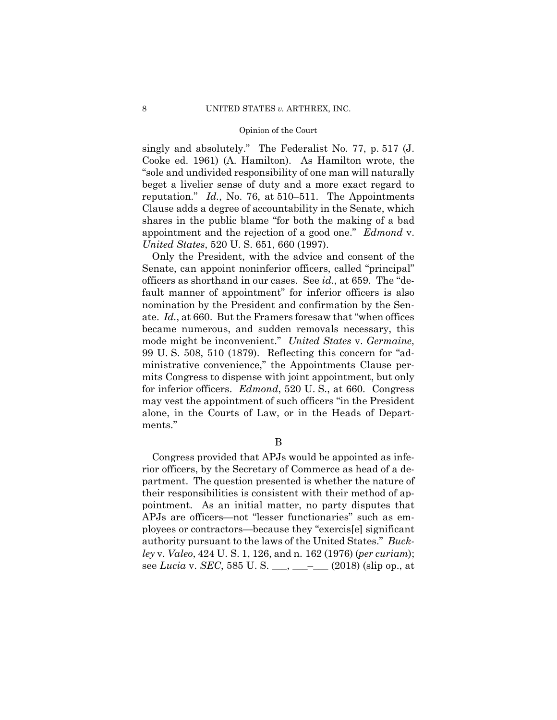reputation." *Id.*, No. 76, at 510–511. The Appointments singly and absolutely." The Federalist No. 77, p. 517 (J. Cooke ed. 1961) (A. Hamilton). As Hamilton wrote, the "sole and undivided responsibility of one man will naturally beget a livelier sense of duty and a more exact regard to Clause adds a degree of accountability in the Senate, which shares in the public blame "for both the making of a bad appointment and the rejection of a good one." *Edmond* v. *United States*, 520 U. S. 651, 660 (1997).

Only the President, with the advice and consent of the Senate, can appoint noninferior officers, called "principal" officers as shorthand in our cases. See *id.*, at 659. The "default manner of appointment" for inferior officers is also nomination by the President and confirmation by the Senate. *Id.*, at 660. But the Framers foresaw that "when offices became numerous, and sudden removals necessary, this mode might be inconvenient." *United States* v. *Germaine*, 99 U. S. 508, 510 (1879). Reflecting this concern for "administrative convenience," the Appointments Clause permits Congress to dispense with joint appointment, but only for inferior officers. *Edmond*, 520 U. S., at 660. Congress may vest the appointment of such officers "in the President alone, in the Courts of Law, or in the Heads of Departments."

B

Congress provided that APJs would be appointed as inferior officers, by the Secretary of Commerce as head of a department. The question presented is whether the nature of their responsibilities is consistent with their method of appointment. As an initial matter, no party disputes that APJs are officers—not "lesser functionaries" such as employees or contractors—because they "exercis[e] significant authority pursuant to the laws of the United States." *Buckley* v. *Valeo*, 424 U. S. 1, 126, and n. 162 (1976) (*per curiam*); see *Lucia* v. *SEC*, 585 U. S. \_\_\_, \_\_\_–\_\_\_ (2018) (slip op., at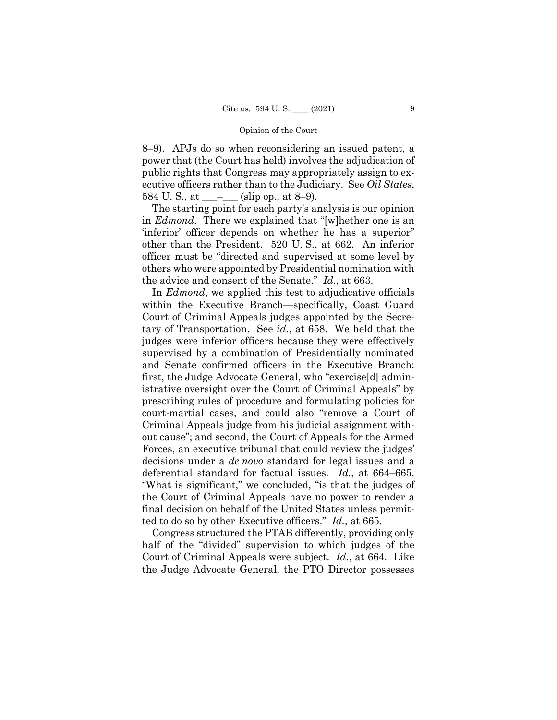8–9). APJs do so when reconsidering an issued patent, a power that (the Court has held) involves the adjudication of public rights that Congress may appropriately assign to executive officers rather than to the Judiciary. See *Oil States*, 584 U.S., at  $\_\_\_\_\_\_$  (slip op., at 8–9).

The starting point for each party's analysis is our opinion in *Edmond*. There we explained that "[w]hether one is an 'inferior' officer depends on whether he has a superior" other than the President. 520 U. S., at 662. An inferior officer must be "directed and supervised at some level by others who were appointed by Presidential nomination with the advice and consent of the Senate." *Id.*, at 663.

In *Edmond*, we applied this test to adjudicative officials within the Executive Branch—specifically, Coast Guard Court of Criminal Appeals judges appointed by the Secretary of Transportation. See *id.*, at 658. We held that the judges were inferior officers because they were effectively supervised by a combination of Presidentially nominated and Senate confirmed officers in the Executive Branch: first, the Judge Advocate General, who "exercise[d] administrative oversight over the Court of Criminal Appeals" by prescribing rules of procedure and formulating policies for court-martial cases, and could also "remove a Court of Criminal Appeals judge from his judicial assignment without cause"; and second, the Court of Appeals for the Armed Forces, an executive tribunal that could review the judges' decisions under a *de novo* standard for legal issues and a deferential standard for factual issues. *Id.*, at 664–665. "What is significant," we concluded, "is that the judges of the Court of Criminal Appeals have no power to render a final decision on behalf of the United States unless permitted to do so by other Executive officers." *Id.*, at 665.

Congress structured the PTAB differently, providing only half of the "divided" supervision to which judges of the Court of Criminal Appeals were subject. *Id.*, at 664. Like the Judge Advocate General, the PTO Director possesses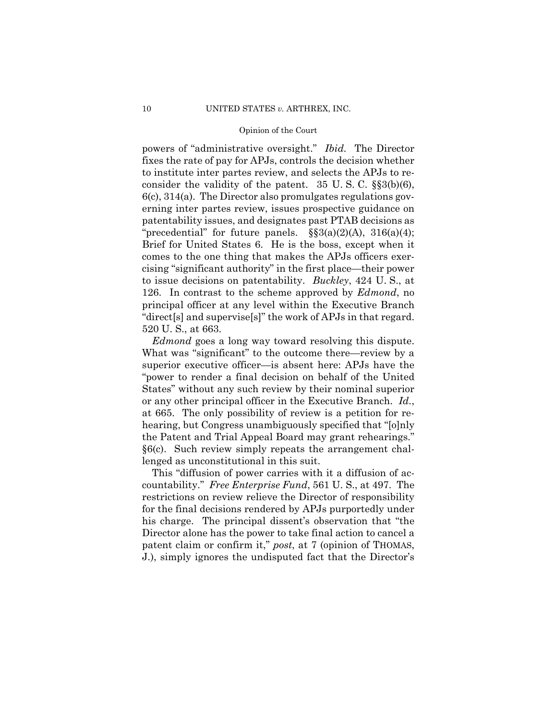powers of "administrative oversight." *Ibid.* The Director "direct[s] and supervise[s]" the work of APJs in that regard. fixes the rate of pay for APJs, controls the decision whether to institute inter partes review, and selects the APJs to reconsider the validity of the patent.  $35 \text{ U.S. C. }$  §§3(b)(6), 6(c), 314(a). The Director also promulgates regulations governing inter partes review, issues prospective guidance on patentability issues, and designates past PTAB decisions as "precedential" for future panels.  $\S$ §3(a)(2)(A), 316(a)(4); Brief for United States 6. He is the boss, except when it comes to the one thing that makes the APJs officers exercising "significant authority" in the first place—their power to issue decisions on patentability. *Buckley*, 424 U. S., at 126. In contrast to the scheme approved by *Edmond*, no principal officer at any level within the Executive Branch 520 U. S., at 663.

*Edmond* goes a long way toward resolving this dispute. What was "significant" to the outcome there—review by a superior executive officer—is absent here: APJs have the "power to render a final decision on behalf of the United States" without any such review by their nominal superior or any other principal officer in the Executive Branch. *Id.*, at 665. The only possibility of review is a petition for rehearing, but Congress unambiguously specified that "[o]nly the Patent and Trial Appeal Board may grant rehearings." §6(c). Such review simply repeats the arrangement challenged as unconstitutional in this suit.

This "diffusion of power carries with it a diffusion of accountability." *Free Enterprise Fund*, 561 U. S., at 497. The restrictions on review relieve the Director of responsibility for the final decisions rendered by APJs purportedly under his charge. The principal dissent's observation that "the Director alone has the power to take final action to cancel a patent claim or confirm it," *post*, at 7 (opinion of THOMAS, J.), simply ignores the undisputed fact that the Director's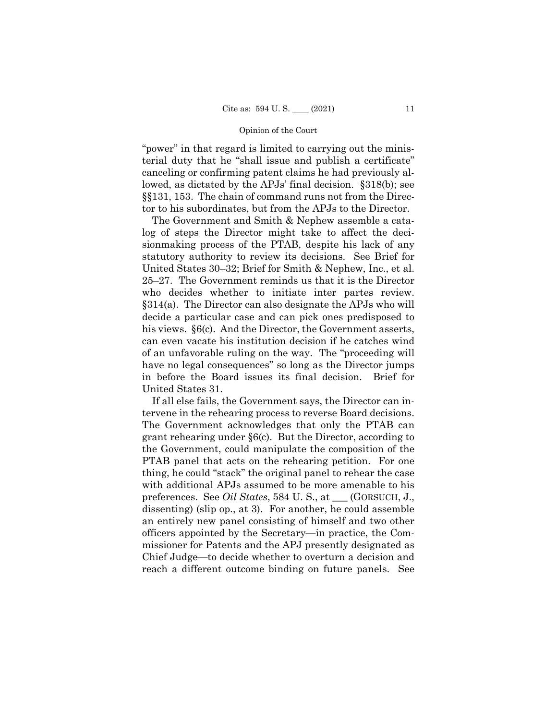"power" in that regard is limited to carrying out the ministerial duty that he "shall issue and publish a certificate" canceling or confirming patent claims he had previously allowed, as dictated by the APJs' final decision. §318(b); see §§131, 153. The chain of command runs not from the Director to his subordinates, but from the APJs to the Director.

The Government and Smith & Nephew assemble a catalog of steps the Director might take to affect the decisionmaking process of the PTAB, despite his lack of any statutory authority to review its decisions. See Brief for United States 30–32; Brief for Smith & Nephew, Inc., et al. 25–27. The Government reminds us that it is the Director who decides whether to initiate inter partes review. §314(a). The Director can also designate the APJs who will decide a particular case and can pick ones predisposed to his views. §6(c). And the Director, the Government asserts, can even vacate his institution decision if he catches wind of an unfavorable ruling on the way. The "proceeding will have no legal consequences" so long as the Director jumps in before the Board issues its final decision. Brief for United States 31.

If all else fails, the Government says, the Director can intervene in the rehearing process to reverse Board decisions. The Government acknowledges that only the PTAB can grant rehearing under §6(c). But the Director, according to the Government, could manipulate the composition of the PTAB panel that acts on the rehearing petition. For one thing, he could "stack" the original panel to rehear the case with additional APJs assumed to be more amenable to his preferences. See *Oil States*, 584 U. S., at \_\_\_ (GORSUCH, J., dissenting) (slip op., at 3). For another, he could assemble an entirely new panel consisting of himself and two other officers appointed by the Secretary—in practice, the Commissioner for Patents and the APJ presently designated as Chief Judge—to decide whether to overturn a decision and reach a different outcome binding on future panels. See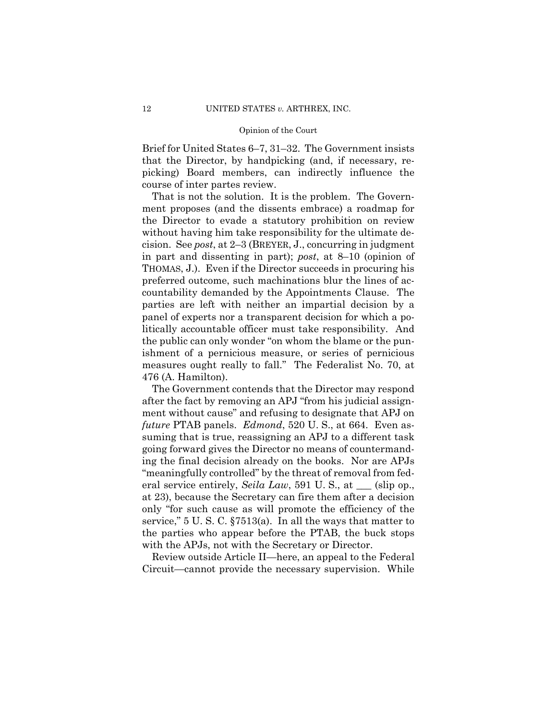Brief for United States 6–7, 31–32. The Government insists that the Director, by handpicking (and, if necessary, repicking) Board members, can indirectly influence the course of inter partes review.

That is not the solution. It is the problem. The Government proposes (and the dissents embrace) a roadmap for the Director to evade a statutory prohibition on review without having him take responsibility for the ultimate decision. See *post*, at 2–3 (BREYER, J., concurring in judgment in part and dissenting in part); *post*, at 8–10 (opinion of THOMAS, J.). Even if the Director succeeds in procuring his preferred outcome, such machinations blur the lines of accountability demanded by the Appointments Clause. The parties are left with neither an impartial decision by a panel of experts nor a transparent decision for which a politically accountable officer must take responsibility. And the public can only wonder "on whom the blame or the punishment of a pernicious measure, or series of pernicious measures ought really to fall." The Federalist No. 70, at 476 (A. Hamilton).

The Government contends that the Director may respond after the fact by removing an APJ "from his judicial assignment without cause" and refusing to designate that APJ on *future* PTAB panels. *Edmond*, 520 U. S., at 664. Even assuming that is true, reassigning an APJ to a different task going forward gives the Director no means of countermanding the final decision already on the books. Nor are APJs "meaningfully controlled" by the threat of removal from federal service entirely, *Seila Law*, 591 U.S., at \_\_\_ (slip op., at 23), because the Secretary can fire them after a decision only "for such cause as will promote the efficiency of the service," 5 U. S. C. §7513(a). In all the ways that matter to the parties who appear before the PTAB, the buck stops with the APJs, not with the Secretary or Director.

Review outside Article II—here, an appeal to the Federal Circuit—cannot provide the necessary supervision. While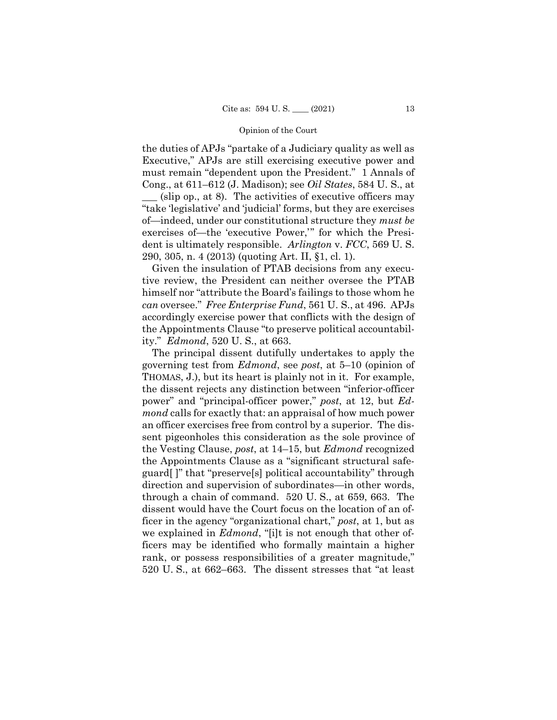the duties of APJs "partake of a Judiciary quality as well as Executive," APJs are still exercising executive power and must remain "dependent upon the President." 1 Annals of Cong., at 611–612 (J. Madison); see *Oil States*, 584 U. S., at  $(\text{slip op.}, \text{at } 8)$ . The activities of executive officers may "take 'legislative' and 'judicial' forms, but they are exercises of—indeed, under our constitutional structure they *must be*  exercises of—the 'executive Power,'" for which the President is ultimately responsible. *Arlington* v. *FCC*, 569 U. S. 290, 305, n. 4 (2013) (quoting Art. II, §1, cl. 1).

Given the insulation of PTAB decisions from any executive review, the President can neither oversee the PTAB himself nor "attribute the Board's failings to those whom he *can* oversee." *Free Enterprise Fund*, 561 U. S., at 496. APJs accordingly exercise power that conflicts with the design of the Appointments Clause "to preserve political accountability." *Edmond*, 520 U. S., at 663.

The principal dissent dutifully undertakes to apply the governing test from *Edmond*, see *post*, at 5–10 (opinion of THOMAS, J.), but its heart is plainly not in it. For example, the dissent rejects any distinction between "inferior-officer power" and "principal-officer power," *post*, at 12, but *Edmond* calls for exactly that: an appraisal of how much power an officer exercises free from control by a superior. The dissent pigeonholes this consideration as the sole province of the Vesting Clause, *post*, at 14–15, but *Edmond* recognized the Appointments Clause as a "significant structural safeguard[ ]" that "preserve[s] political accountability" through direction and supervision of subordinates—in other words, through a chain of command. 520 U. S., at 659, 663. The dissent would have the Court focus on the location of an officer in the agency "organizational chart," *post*, at 1, but as we explained in *Edmond*, "[i]t is not enough that other officers may be identified who formally maintain a higher rank, or possess responsibilities of a greater magnitude," 520 U. S., at 662–663. The dissent stresses that "at least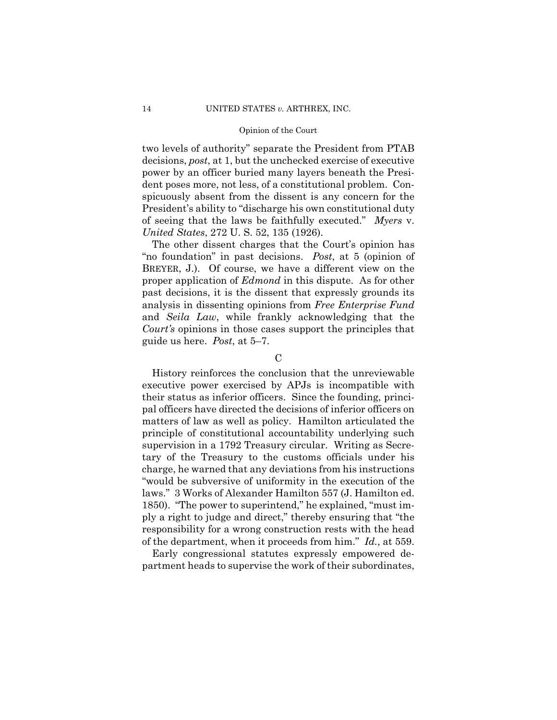two levels of authority" separate the President from PTAB decisions, *post*, at 1, but the unchecked exercise of executive power by an officer buried many layers beneath the President poses more, not less, of a constitutional problem. Conspicuously absent from the dissent is any concern for the President's ability to "discharge his own constitutional duty of seeing that the laws be faithfully executed." *Myers* v. *United States*, 272 U. S. 52, 135 (1926).

 "no foundation" in past decisions. *Post*, at 5 (opinion of The other dissent charges that the Court's opinion has BREYER, J.). Of course, we have a different view on the proper application of *Edmond* in this dispute. As for other past decisions, it is the dissent that expressly grounds its analysis in dissenting opinions from *Free Enterprise Fund*  and *Seila Law*, while frankly acknowledging that the *Court's* opinions in those cases support the principles that guide us here. *Post*, at 5–7.

 $\mathcal{C}$ 

History reinforces the conclusion that the unreviewable executive power exercised by APJs is incompatible with their status as inferior officers. Since the founding, principal officers have directed the decisions of inferior officers on matters of law as well as policy. Hamilton articulated the principle of constitutional accountability underlying such supervision in a 1792 Treasury circular. Writing as Secretary of the Treasury to the customs officials under his charge, he warned that any deviations from his instructions "would be subversive of uniformity in the execution of the laws." 3 Works of Alexander Hamilton 557 (J. Hamilton ed. 1850). "The power to superintend," he explained, "must imply a right to judge and direct," thereby ensuring that "the responsibility for a wrong construction rests with the head of the department, when it proceeds from him." *Id.*, at 559.

Early congressional statutes expressly empowered department heads to supervise the work of their subordinates,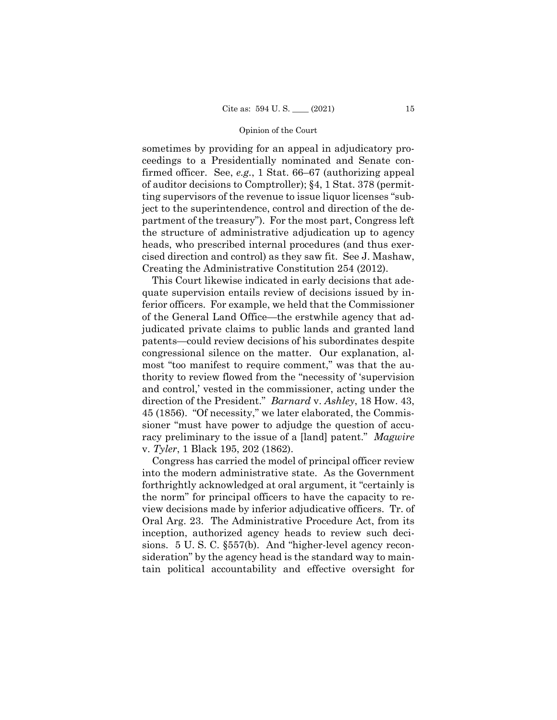sometimes by providing for an appeal in adjudicatory proceedings to a Presidentially nominated and Senate confirmed officer. See, *e.g.*, 1 Stat. 66–67 (authorizing appeal of auditor decisions to Comptroller); §4, 1 Stat. 378 (permitting supervisors of the revenue to issue liquor licenses "subject to the superintendence, control and direction of the department of the treasury"). For the most part, Congress left the structure of administrative adjudication up to agency heads, who prescribed internal procedures (and thus exercised direction and control) as they saw fit. See J. Mashaw, Creating the Administrative Constitution 254 (2012).

This Court likewise indicated in early decisions that adequate supervision entails review of decisions issued by inferior officers. For example, we held that the Commissioner of the General Land Office—the erstwhile agency that adjudicated private claims to public lands and granted land patents—could review decisions of his subordinates despite congressional silence on the matter. Our explanation, almost "too manifest to require comment," was that the authority to review flowed from the "necessity of 'supervision and control,' vested in the commissioner, acting under the direction of the President." *Barnard* v. *Ashley*, 18 How. 43, 45 (1856). "Of necessity," we later elaborated, the Commissioner "must have power to adjudge the question of accuracy preliminary to the issue of a [land] patent." *Magwire*  v. *Tyler*, 1 Black 195, 202 (1862).

Congress has carried the model of principal officer review into the modern administrative state. As the Government forthrightly acknowledged at oral argument, it "certainly is the norm" for principal officers to have the capacity to review decisions made by inferior adjudicative officers. Tr. of Oral Arg. 23. The Administrative Procedure Act, from its inception, authorized agency heads to review such decisions. 5 U. S. C. §557(b). And "higher-level agency reconsideration" by the agency head is the standard way to maintain political accountability and effective oversight for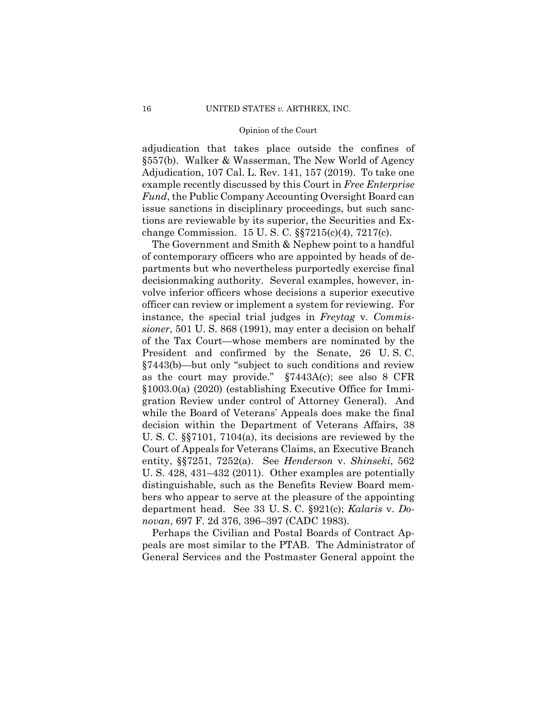adjudication that takes place outside the confines of §557(b). Walker & Wasserman, The New World of Agency Adjudication, 107 Cal. L. Rev. 141, 157 (2019). To take one example recently discussed by this Court in *Free Enterprise Fund*, the Public Company Accounting Oversight Board can issue sanctions in disciplinary proceedings, but such sanctions are reviewable by its superior, the Securities and Exchange Commission. 15 U. S. C. §§7215(c)(4), 7217(c).

 The Government and Smith & Nephew point to a handful of contemporary officers who are appointed by heads of departments but who nevertheless purportedly exercise final decisionmaking authority. Several examples, however, involve inferior officers whose decisions a superior executive officer can review or implement a system for reviewing. For instance, the special trial judges in *Freytag* v. *Commissioner*, 501 U. S. 868 (1991), may enter a decision on behalf of the Tax Court—whose members are nominated by the President and confirmed by the Senate, 26 U. S. C. §7443(b)—but only "subject to such conditions and review as the court may provide." §7443A(c); see also 8 CFR §1003.0(a) (2020) (establishing Executive Office for Immigration Review under control of Attorney General). And while the Board of Veterans' Appeals does make the final decision within the Department of Veterans Affairs, 38 U. S. C. §§7101, 7104(a), its decisions are reviewed by the Court of Appeals for Veterans Claims, an Executive Branch entity, §§7251, 7252(a). See *Henderson* v. *Shinseki*, 562 U. S. 428, 431–432 (2011). Other examples are potentially distinguishable, such as the Benefits Review Board members who appear to serve at the pleasure of the appointing department head. See 33 U. S. C. §921(c); *Kalaris* v. *Donovan*, 697 F. 2d 376, 396–397 (CADC 1983).

 Perhaps the Civilian and Postal Boards of Contract Appeals are most similar to the PTAB. The Administrator of General Services and the Postmaster General appoint the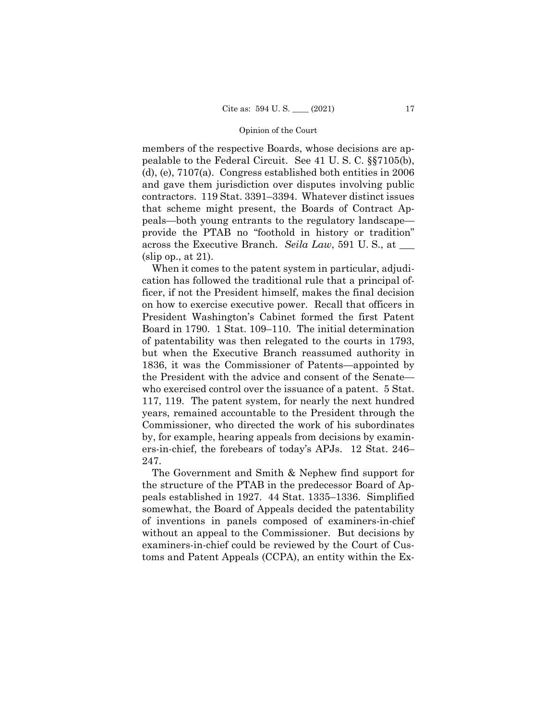members of the respective Boards, whose decisions are appealable to the Federal Circuit. See 41 U. S. C. §§7105(b), (d), (e), 7107(a). Congress established both entities in 2006 and gave them jurisdiction over disputes involving public contractors. 119 Stat. 3391–3394. Whatever distinct issues that scheme might present, the Boards of Contract Appeals—both young entrants to the regulatory landscape provide the PTAB no "foothold in history or tradition" across the Executive Branch. *Seila Law*, 591 U. S., at \_\_\_ (slip op., at 21).

When it comes to the patent system in particular, adjudication has followed the traditional rule that a principal officer, if not the President himself, makes the final decision on how to exercise executive power. Recall that officers in President Washington's Cabinet formed the first Patent Board in 1790. 1 Stat. 109–110. The initial determination of patentability was then relegated to the courts in 1793, but when the Executive Branch reassumed authority in 1836, it was the Commissioner of Patents—appointed by the President with the advice and consent of the Senate who exercised control over the issuance of a patent. 5 Stat. 117, 119. The patent system, for nearly the next hundred years, remained accountable to the President through the Commissioner, who directed the work of his subordinates by, for example, hearing appeals from decisions by examiners-in-chief, the forebears of today's APJs. 12 Stat. 246– 247.

The Government and Smith & Nephew find support for the structure of the PTAB in the predecessor Board of Appeals established in 1927. 44 Stat. 1335–1336. Simplified somewhat, the Board of Appeals decided the patentability of inventions in panels composed of examiners-in-chief without an appeal to the Commissioner. But decisions by examiners-in-chief could be reviewed by the Court of Customs and Patent Appeals (CCPA), an entity within the Ex-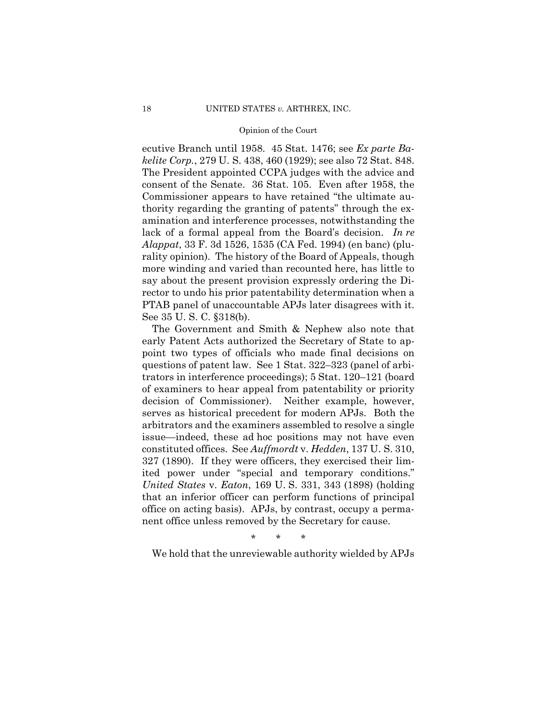ecutive Branch until 1958. 45 Stat. 1476; see *Ex parte Bakelite Corp.*, 279 U. S. 438, 460 (1929); see also 72 Stat. 848. The President appointed CCPA judges with the advice and consent of the Senate. 36 Stat. 105. Even after 1958, the Commissioner appears to have retained "the ultimate authority regarding the granting of patents" through the examination and interference processes, notwithstanding the lack of a formal appeal from the Board's decision. *In re Alappat*, 33 F. 3d 1526, 1535 (CA Fed. 1994) (en banc) (plurality opinion). The history of the Board of Appeals, though more winding and varied than recounted here, has little to say about the present provision expressly ordering the Director to undo his prior patentability determination when a PTAB panel of unaccountable APJs later disagrees with it. See 35 U. S. C. §318(b).

The Government and Smith & Nephew also note that early Patent Acts authorized the Secretary of State to appoint two types of officials who made final decisions on questions of patent law. See 1 Stat. 322–323 (panel of arbitrators in interference proceedings); 5 Stat. 120–121 (board of examiners to hear appeal from patentability or priority decision of Commissioner). Neither example, however, serves as historical precedent for modern APJs. Both the arbitrators and the examiners assembled to resolve a single issue—indeed, these ad hoc positions may not have even constituted offices. See *Auffmordt* v. *Hedden*, 137 U. S. 310, 327 (1890). If they were officers, they exercised their limited power under "special and temporary conditions." *United States* v. *Eaton*, 169 U. S. 331, 343 (1898) (holding that an inferior officer can perform functions of principal office on acting basis). APJs, by contrast, occupy a permanent office unless removed by the Secretary for cause.

\* \* \*

We hold that the unreviewable authority wielded by APJs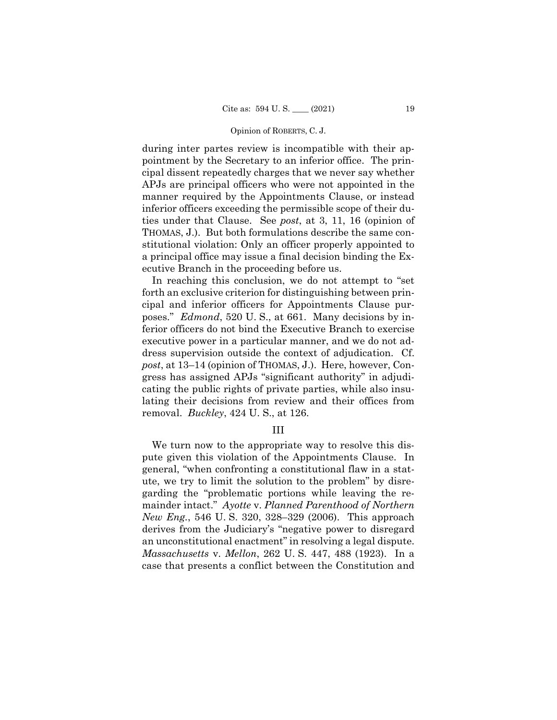during inter partes review is incompatible with their appointment by the Secretary to an inferior office. The principal dissent repeatedly charges that we never say whether APJs are principal officers who were not appointed in the manner required by the Appointments Clause, or instead inferior officers exceeding the permissible scope of their duties under that Clause. See *post*, at 3, 11, 16 (opinion of THOMAS, J.). But both formulations describe the same constitutional violation: Only an officer properly appointed to a principal office may issue a final decision binding the Executive Branch in the proceeding before us.

In reaching this conclusion, we do not attempt to "set forth an exclusive criterion for distinguishing between principal and inferior officers for Appointments Clause purposes." *Edmond*, 520 U. S., at 661. Many decisions by inferior officers do not bind the Executive Branch to exercise executive power in a particular manner, and we do not address supervision outside the context of adjudication. Cf. *post*, at 13–14 (opinion of THOMAS, J.). Here, however, Congress has assigned APJs "significant authority" in adjudicating the public rights of private parties, while also insulating their decisions from review and their offices from removal. *Buckley*, 424 U. S., at 126.

### III

We turn now to the appropriate way to resolve this dispute given this violation of the Appointments Clause. In general, "when confronting a constitutional flaw in a statute, we try to limit the solution to the problem" by disregarding the "problematic portions while leaving the remainder intact." *Ayotte* v. *Planned Parenthood of Northern New Eng.*, 546 U. S. 320, 328–329 (2006). This approach derives from the Judiciary's "negative power to disregard an unconstitutional enactment" in resolving a legal dispute. *Massachusetts* v. *Mellon*, 262 U. S. 447, 488 (1923). In a case that presents a conflict between the Constitution and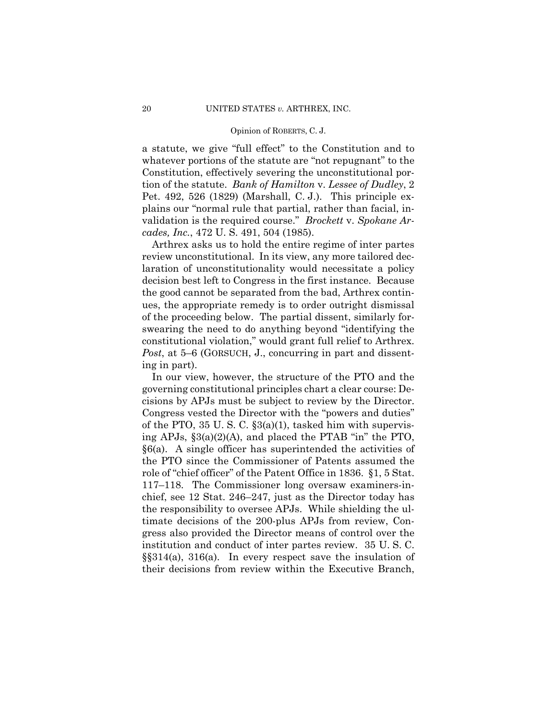a statute, we give "full effect" to the Constitution and to whatever portions of the statute are "not repugnant" to the Constitution, effectively severing the unconstitutional portion of the statute. *Bank of Hamilton* v. *Lessee of Dudley*, 2 Pet. 492, 526 (1829) (Marshall, C. J.). This principle explains our "normal rule that partial, rather than facial, invalidation is the required course." *Brockett* v. *Spokane Arcades, Inc.*, 472 U. S. 491, 504 (1985).

Arthrex asks us to hold the entire regime of inter partes review unconstitutional. In its view, any more tailored declaration of unconstitutionality would necessitate a policy decision best left to Congress in the first instance. Because the good cannot be separated from the bad, Arthrex continues, the appropriate remedy is to order outright dismissal of the proceeding below. The partial dissent, similarly forswearing the need to do anything beyond "identifying the constitutional violation," would grant full relief to Arthrex. *Post*, at 5–6 (GORSUCH, J., concurring in part and dissenting in part).

 institution and conduct of inter partes review. 35 U. S. C. In our view, however, the structure of the PTO and the governing constitutional principles chart a clear course: Decisions by APJs must be subject to review by the Director. Congress vested the Director with the "powers and duties" of the PTO,  $35 \text{ U}$ . S. C.  $\S 3(a)(1)$ , tasked him with supervising APJs, §3(a)(2)(A), and placed the PTAB "in" the PTO, §6(a). A single officer has superintended the activities of the PTO since the Commissioner of Patents assumed the role of "chief officer" of the Patent Office in 1836. §1, 5 Stat. 117–118. The Commissioner long oversaw examiners-inchief, see 12 Stat. 246–247, just as the Director today has the responsibility to oversee APJs. While shielding the ultimate decisions of the 200-plus APJs from review, Congress also provided the Director means of control over the §§314(a), 316(a). In every respect save the insulation of their decisions from review within the Executive Branch,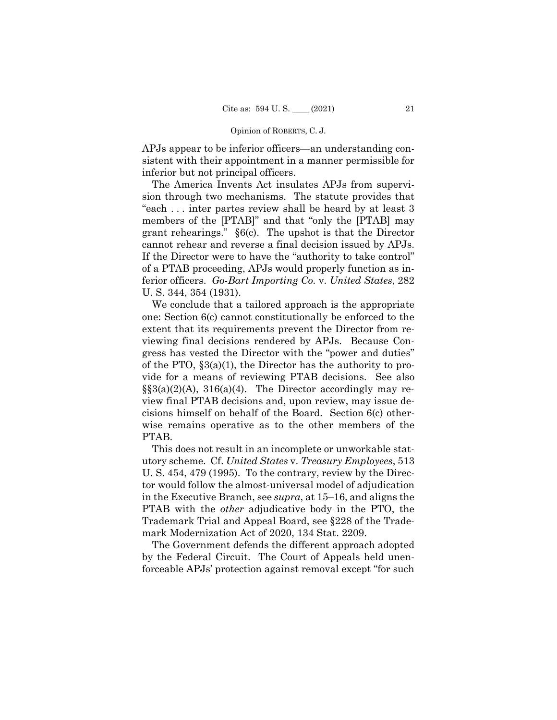APJs appear to be inferior officers—an understanding consistent with their appointment in a manner permissible for inferior but not principal officers.

The America Invents Act insulates APJs from supervision through two mechanisms. The statute provides that "each . . . inter partes review shall be heard by at least 3 members of the [PTAB]" and that "only the [PTAB] may grant rehearings." §6(c). The upshot is that the Director cannot rehear and reverse a final decision issued by APJs. If the Director were to have the "authority to take control" of a PTAB proceeding, APJs would properly function as inferior officers. *Go-Bart Importing Co.* v. *United States*, 282 U. S. 344, 354 (1931).

We conclude that a tailored approach is the appropriate one: Section 6(c) cannot constitutionally be enforced to the extent that its requirements prevent the Director from reviewing final decisions rendered by APJs. Because Congress has vested the Director with the "power and duties" of the PTO, §3(a)(1), the Director has the authority to provide for a means of reviewing PTAB decisions. See also  $\S$ §3(a)(2)(A), 316(a)(4). The Director accordingly may review final PTAB decisions and, upon review, may issue decisions himself on behalf of the Board. Section 6(c) otherwise remains operative as to the other members of the PTAB.

This does not result in an incomplete or unworkable statutory scheme. Cf. *United States* v. *Treasury Employees*, 513 U. S. 454, 479 (1995). To the contrary, review by the Director would follow the almost-universal model of adjudication in the Executive Branch, see *supra*, at 15–16, and aligns the PTAB with the *other* adjudicative body in the PTO, the Trademark Trial and Appeal Board, see §228 of the Trademark Modernization Act of 2020, 134 Stat. 2209.

The Government defends the different approach adopted by the Federal Circuit. The Court of Appeals held unenforceable APJs' protection against removal except "for such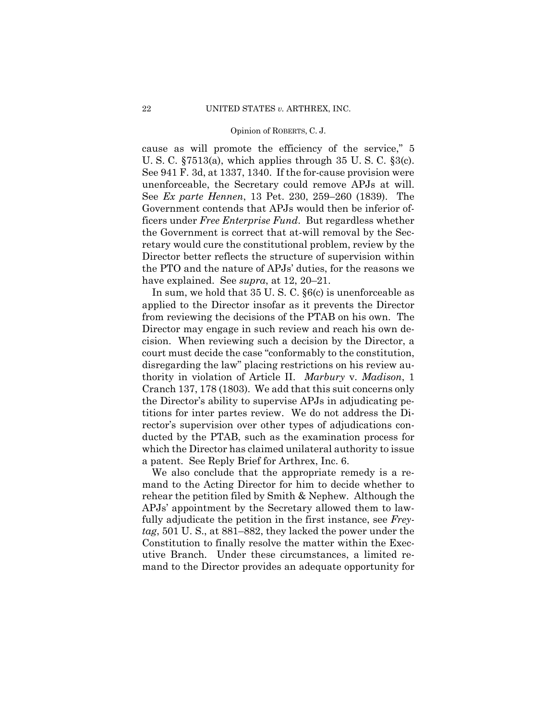cause as will promote the efficiency of the service," 5 U. S. C. §7513(a), which applies through 35 U. S. C. §3(c). See 941 F. 3d, at 1337, 1340. If the for-cause provision were unenforceable, the Secretary could remove APJs at will. See *Ex parte Hennen*, 13 Pet. 230, 259–260 (1839). The Government contends that APJs would then be inferior officers under *Free Enterprise Fund*. But regardless whether the Government is correct that at-will removal by the Secretary would cure the constitutional problem, review by the Director better reflects the structure of supervision within the PTO and the nature of APJs' duties, for the reasons we have explained. See *supra*, at 12, 20–21.

In sum, we hold that 35 U. S. C. §6(c) is unenforceable as applied to the Director insofar as it prevents the Director from reviewing the decisions of the PTAB on his own. The Director may engage in such review and reach his own decision. When reviewing such a decision by the Director, a court must decide the case "conformably to the constitution, disregarding the law" placing restrictions on his review authority in violation of Article II. *Marbury* v. *Madison*, 1 Cranch 137, 178 (1803). We add that this suit concerns only the Director's ability to supervise APJs in adjudicating petitions for inter partes review. We do not address the Director's supervision over other types of adjudications conducted by the PTAB, such as the examination process for which the Director has claimed unilateral authority to issue a patent. See Reply Brief for Arthrex, Inc. 6.

We also conclude that the appropriate remedy is a remand to the Acting Director for him to decide whether to rehear the petition filed by Smith & Nephew. Although the APJs' appointment by the Secretary allowed them to lawfully adjudicate the petition in the first instance, see *Freytag*, 501 U. S., at 881–882, they lacked the power under the Constitution to finally resolve the matter within the Executive Branch. Under these circumstances, a limited remand to the Director provides an adequate opportunity for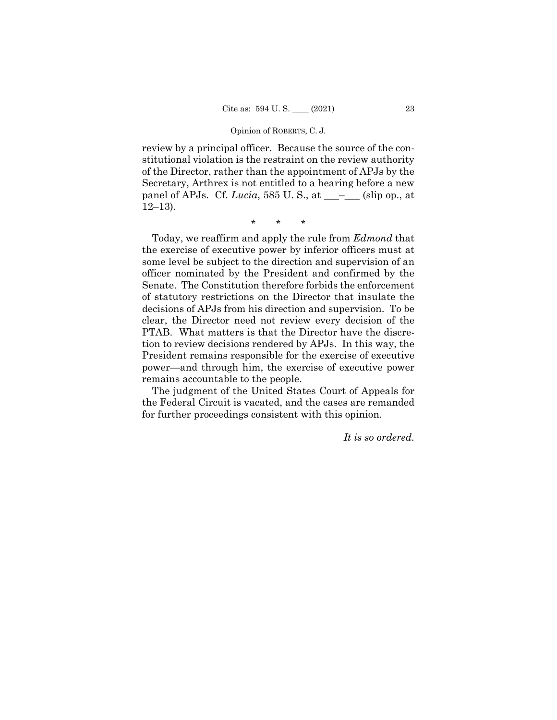review by a principal officer. Because the source of the constitutional violation is the restraint on the review authority of the Director, rather than the appointment of APJs by the Secretary, Arthrex is not entitled to a hearing before a new panel of APJs. Cf. *Lucia*, 585 U. S., at \_\_\_–\_\_\_ (slip op., at 12–13).

\* \* \*

Today, we reaffirm and apply the rule from *Edmond* that the exercise of executive power by inferior officers must at some level be subject to the direction and supervision of an officer nominated by the President and confirmed by the Senate. The Constitution therefore forbids the enforcement of statutory restrictions on the Director that insulate the decisions of APJs from his direction and supervision. To be clear, the Director need not review every decision of the PTAB. What matters is that the Director have the discretion to review decisions rendered by APJs. In this way, the President remains responsible for the exercise of executive power—and through him, the exercise of executive power remains accountable to the people.

The judgment of the United States Court of Appeals for the Federal Circuit is vacated, and the cases are remanded for further proceedings consistent with this opinion.

*It is so ordered.*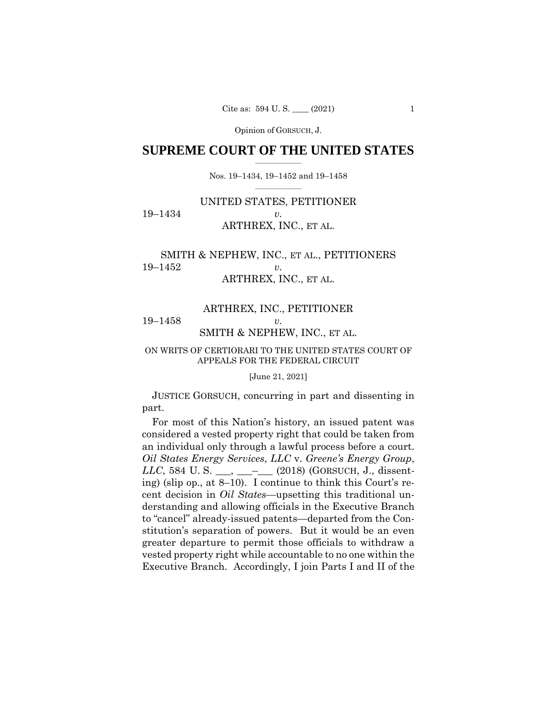## $\frac{1}{2}$  , where  $\frac{1}{2}$ **SUPREME COURT OF THE UNITED STATES**

 $\frac{1}{2}$  ,  $\frac{1}{2}$  ,  $\frac{1}{2}$  ,  $\frac{1}{2}$  ,  $\frac{1}{2}$  ,  $\frac{1}{2}$ Nos. 19–1434, 19–1452 and 19–1458

# UNITED STATES, PETITIONER 19–1434 *v.*  ARTHREX, INC., ET AL.

# SMITH & NEPHEW, INC., ET AL., PETITIONERS 19–1452 *v.*  ARTHREX, INC., ET AL.

# ARTHREX, INC., PETITIONER 19–1458 *v.*  SMITH & NEPHEW, INC., ET AL.

## ON WRITS OF CERTIORARI TO THE UNITED STATES COURT OF APPEALS FOR THE FEDERAL CIRCUIT

[June 21, 2021]

 JUSTICE GORSUCH, concurring in part and dissenting in part.

 an individual only through a lawful process before a court. For most of this Nation's history, an issued patent was considered a vested property right that could be taken from *Oil States Energy Services*, *LLC* v. *Greene's Energy Group*, *LLC*, 584 U.S. \_\_, \_\_\_– (2018) (GORSUCH, J., dissenting) (slip op., at 8–10). I continue to think this Court's recent decision in *Oil States*—upsetting this traditional understanding and allowing officials in the Executive Branch to "cancel" already-issued patents—departed from the Constitution's separation of powers. But it would be an even greater departure to permit those officials to withdraw a vested property right while accountable to no one within the Executive Branch. Accordingly, I join Parts I and II of the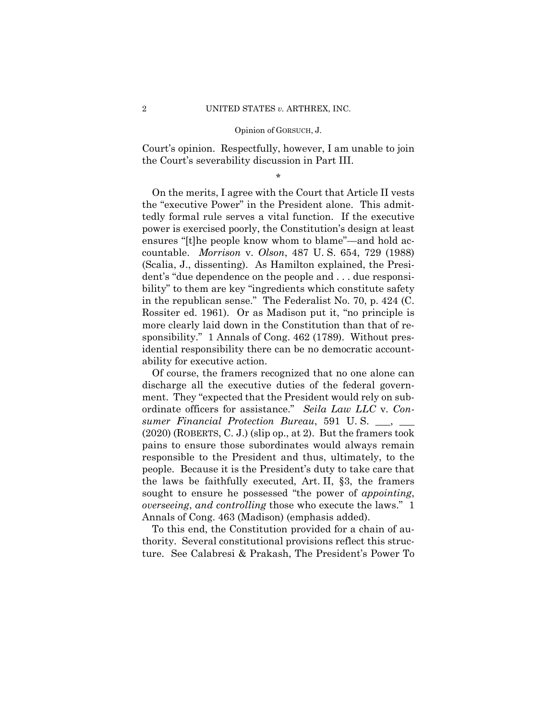Court's opinion. Respectfully, however, I am unable to join the Court's severability discussion in Part III.

\*

 On the merits, I agree with the Court that Article II vests the "executive Power" in the President alone. This admittedly formal rule serves a vital function. If the executive power is exercised poorly, the Constitution's design at least ensures "[t]he people know whom to blame"—and hold accountable. *Morrison* v. *Olson*, 487 U. S. 654, 729 (1988) (Scalia, J., dissenting). As Hamilton explained, the President's "due dependence on the people and . . . due responsibility" to them are key "ingredients which constitute safety in the republican sense." The Federalist No. 70, p. 424 (C. Rossiter ed. 1961). Or as Madison put it, "no principle is more clearly laid down in the Constitution than that of responsibility." 1 Annals of Cong. 462 (1789). Without presidential responsibility there can be no democratic accountability for executive action.

 Of course, the framers recognized that no one alone can discharge all the executive duties of the federal government. They "expected that the President would rely on subordinate officers for assistance." *Seila Law LLC* v. *Consumer Financial Protection Bureau*, 591 U. S. \_\_\_, \_\_\_ (2020) (ROBERTS, C. J.) (slip op., at 2). But the framers took pains to ensure those subordinates would always remain responsible to the President and thus, ultimately, to the people. Because it is the President's duty to take care that the laws be faithfully executed, Art. II, §3, the framers sought to ensure he possessed "the power of *appointing*, *overseeing*, *and controlling* those who execute the laws." 1 Annals of Cong. 463 (Madison) (emphasis added).

 To this end, the Constitution provided for a chain of authority. Several constitutional provisions reflect this structure. See Calabresi & Prakash, The President's Power To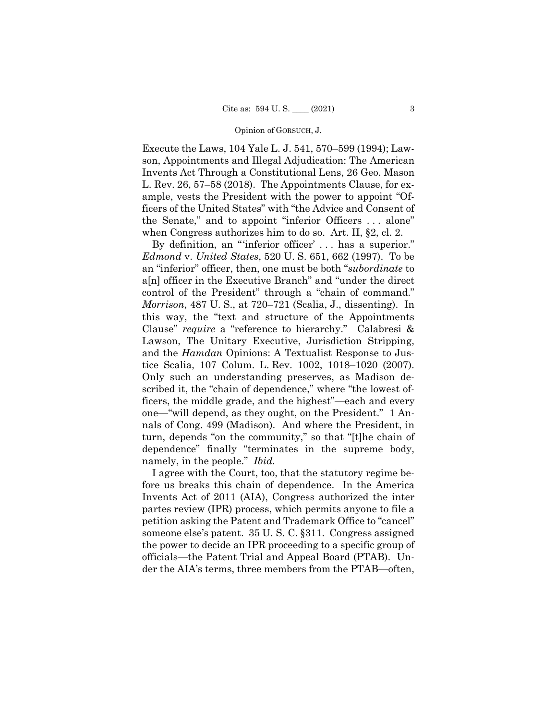Execute the Laws, 104 Yale L. J. 541, 570–599 (1994); Lawson, Appointments and Illegal Adjudication: The American Invents Act Through a Constitutional Lens, 26 Geo. Mason L. Rev. 26, 57–58 (2018). The Appointments Clause, for example, vests the President with the power to appoint "Officers of the United States" with "the Advice and Consent of the Senate," and to appoint "inferior Officers . . . alone" when Congress authorizes him to do so. Art. II, §2, cl. 2.

 *Morrison*, 487 U. S., at 720–721 (Scalia, J., dissenting). In By definition, an "'inferior officer' . . . has a superior." *Edmond* v. *United States*, 520 U. S. 651, 662 (1997). To be an "inferior" officer, then, one must be both "*subordinate* to a[n] officer in the Executive Branch" and "under the direct control of the President" through a "chain of command." this way, the "text and structure of the Appointments Clause" *require* a "reference to hierarchy." Calabresi & Lawson, The Unitary Executive, Jurisdiction Stripping, and the *Hamdan* Opinions: A Textualist Response to Justice Scalia, 107 Colum. L. Rev. 1002, 1018–1020 (2007). Only such an understanding preserves, as Madison described it, the "chain of dependence," where "the lowest officers, the middle grade, and the highest"—each and every one—"will depend, as they ought, on the President." 1 Annals of Cong. 499 (Madison). And where the President, in turn, depends "on the community," so that "[t]he chain of dependence" finally "terminates in the supreme body, namely, in the people." *Ibid.* 

I agree with the Court, too, that the statutory regime before us breaks this chain of dependence. In the America Invents Act of 2011 (AIA), Congress authorized the inter partes review (IPR) process, which permits anyone to file a petition asking the Patent and Trademark Office to "cancel" someone else's patent. 35 U. S. C. §311. Congress assigned the power to decide an IPR proceeding to a specific group of officials—the Patent Trial and Appeal Board (PTAB). Under the AIA's terms, three members from the PTAB—often,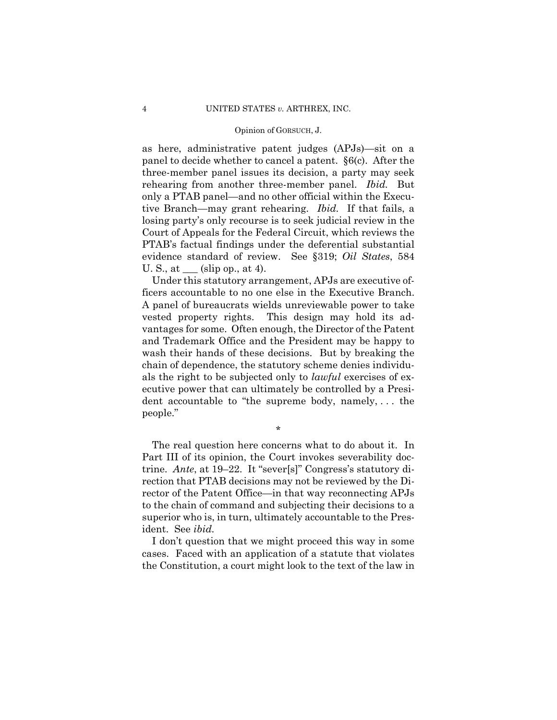as here, administrative patent judges (APJs)—sit on a panel to decide whether to cancel a patent. §6(c). After the three-member panel issues its decision, a party may seek rehearing from another three-member panel. *Ibid.* But only a PTAB panel—and no other official within the Executive Branch—may grant rehearing. *Ibid.* If that fails, a losing party's only recourse is to seek judicial review in the Court of Appeals for the Federal Circuit, which reviews the PTAB's factual findings under the deferential substantial evidence standard of review. See §319; *Oil States*, 584 U. S., at  $\_\_\_$  (slip op., at 4).

Under this statutory arrangement, APJs are executive officers accountable to no one else in the Executive Branch. A panel of bureaucrats wields unreviewable power to take vested property rights. This design may hold its advantages for some. Often enough, the Director of the Patent and Trademark Office and the President may be happy to wash their hands of these decisions. But by breaking the chain of dependence, the statutory scheme denies individuals the right to be subjected only to *lawful* exercises of executive power that can ultimately be controlled by a President accountable to "the supreme body, namely, . . . the people."

\*

The real question here concerns what to do about it. In Part III of its opinion, the Court invokes severability doctrine. *Ante*, at 19–22. It "sever[s]" Congress's statutory direction that PTAB decisions may not be reviewed by the Director of the Patent Office—in that way reconnecting APJs to the chain of command and subjecting their decisions to a superior who is, in turn, ultimately accountable to the President. See *ibid.* 

I don't question that we might proceed this way in some cases. Faced with an application of a statute that violates the Constitution, a court might look to the text of the law in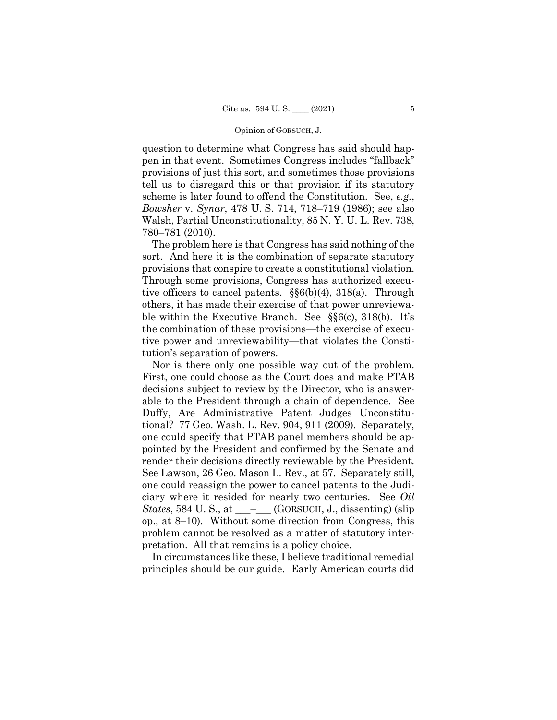question to determine what Congress has said should happen in that event. Sometimes Congress includes "fallback" provisions of just this sort, and sometimes those provisions tell us to disregard this or that provision if its statutory scheme is later found to offend the Constitution. See, *e.g.*, *Bowsher* v. *Synar*, 478 U. S. 714, 718–719 (1986); see also Walsh, Partial Unconstitutionality, 85 N. Y. U. L. Rev. 738, 780–781 (2010).

 ble within the Executive Branch. See §§6(c), 318(b). It's The problem here is that Congress has said nothing of the sort. And here it is the combination of separate statutory provisions that conspire to create a constitutional violation. Through some provisions, Congress has authorized executive officers to cancel patents. §§6(b)(4), 318(a). Through others, it has made their exercise of that power unreviewathe combination of these provisions—the exercise of executive power and unreviewability—that violates the Constitution's separation of powers.

Nor is there only one possible way out of the problem. First, one could choose as the Court does and make PTAB decisions subject to review by the Director, who is answerable to the President through a chain of dependence. See Duffy, Are Administrative Patent Judges Unconstitutional? 77 Geo. Wash. L. Rev. 904, 911 (2009). Separately, one could specify that PTAB panel members should be appointed by the President and confirmed by the Senate and render their decisions directly reviewable by the President. See Lawson, 26 Geo. Mason L. Rev., at 57. Separately still, one could reassign the power to cancel patents to the Judiciary where it resided for nearly two centuries. See *Oil States*, 584 U.S., at \_\_\_\_\_ (GORSUCH, J., dissenting) (slip op., at 8–10). Without some direction from Congress, this problem cannot be resolved as a matter of statutory interpretation. All that remains is a policy choice.

In circumstances like these, I believe traditional remedial principles should be our guide. Early American courts did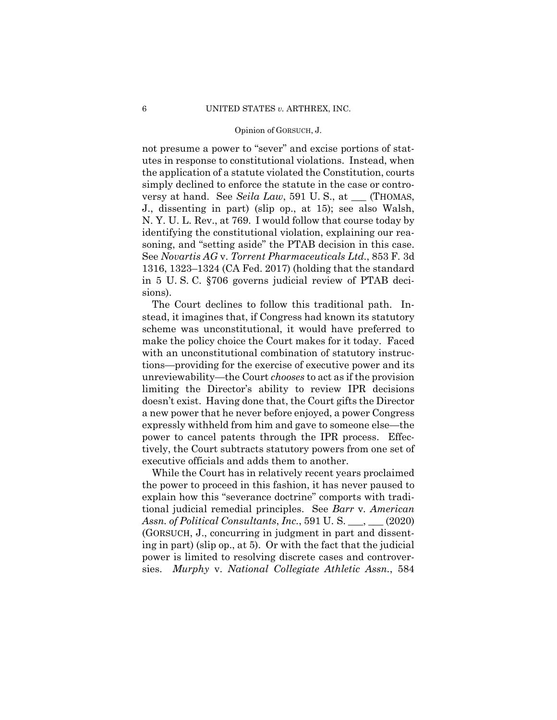not presume a power to "sever" and excise portions of statutes in response to constitutional violations. Instead, when the application of a statute violated the Constitution, courts simply declined to enforce the statute in the case or controversy at hand. See *Seila Law*, 591 U. S., at \_\_\_ (THOMAS, J., dissenting in part) (slip op., at 15); see also Walsh, N. Y. U. L. Rev., at 769. I would follow that course today by identifying the constitutional violation, explaining our reasoning, and "setting aside" the PTAB decision in this case. See *Novartis AG* v. *Torrent Pharmaceuticals Ltd.*, 853 F. 3d 1316, 1323–1324 (CA Fed. 2017) (holding that the standard in 5 U. S. C. §706 governs judicial review of PTAB decisions).

The Court declines to follow this traditional path. Instead, it imagines that, if Congress had known its statutory scheme was unconstitutional, it would have preferred to make the policy choice the Court makes for it today. Faced with an unconstitutional combination of statutory instructions—providing for the exercise of executive power and its unreviewability—the Court *chooses* to act as if the provision limiting the Director's ability to review IPR decisions doesn't exist. Having done that, the Court gifts the Director a new power that he never before enjoyed, a power Congress expressly withheld from him and gave to someone else—the power to cancel patents through the IPR process. Effectively, the Court subtracts statutory powers from one set of executive officials and adds them to another.

While the Court has in relatively recent years proclaimed the power to proceed in this fashion, it has never paused to explain how this "severance doctrine" comports with traditional judicial remedial principles. See *Barr* v*. American Assn. of Political Consultants*, *Inc.*, 591 U. S. \_\_\_, \_\_\_ (2020) (GORSUCH, J., concurring in judgment in part and dissenting in part) (slip op., at 5). Or with the fact that the judicial power is limited to resolving discrete cases and controversies. *Murphy* v. *National Collegiate Athletic Assn.*, 584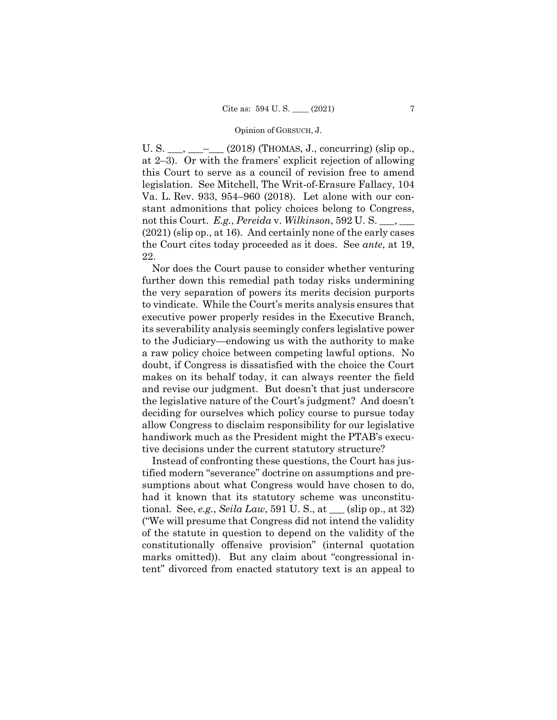U. S.  $\_\_\_\_\_\_\_\_\_\_$  (2018) (THOMAS, J., concurring) (slip op., at 2–3). Or with the framers' explicit rejection of allowing this Court to serve as a council of revision free to amend legislation. See Mitchell, The Writ-of-Erasure Fallacy, 104 Va. L. Rev. 933, 954–960 (2018). Let alone with our constant admonitions that policy choices belong to Congress, not this Court. *E.g.*, *Pereida* v. *Wilkinson*, 592 U. S. \_\_\_, \_\_\_ (2021) (slip op., at 16). And certainly none of the early cases the Court cites today proceeded as it does. See *ante*, at 19, 22.

Nor does the Court pause to consider whether venturing further down this remedial path today risks undermining the very separation of powers its merits decision purports to vindicate. While the Court's merits analysis ensures that executive power properly resides in the Executive Branch, its severability analysis seemingly confers legislative power to the Judiciary—endowing us with the authority to make a raw policy choice between competing lawful options. No doubt, if Congress is dissatisfied with the choice the Court makes on its behalf today, it can always reenter the field and revise our judgment. But doesn't that just underscore the legislative nature of the Court's judgment? And doesn't deciding for ourselves which policy course to pursue today allow Congress to disclaim responsibility for our legislative handiwork much as the President might the PTAB's executive decisions under the current statutory structure?

Instead of confronting these questions, the Court has justified modern "severance" doctrine on assumptions and presumptions about what Congress would have chosen to do, had it known that its statutory scheme was unconstitutional. See, *e.g.*, *Seila Law*, 591 U. S., at \_\_\_ (slip op., at 32) ("We will presume that Congress did not intend the validity of the statute in question to depend on the validity of the constitutionally offensive provision" (internal quotation marks omitted)). But any claim about "congressional intent" divorced from enacted statutory text is an appeal to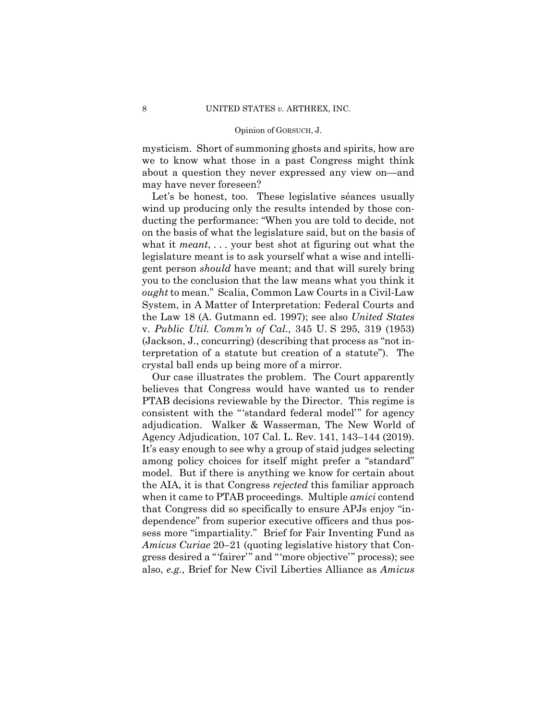mysticism. Short of summoning ghosts and spirits, how are we to know what those in a past Congress might think about a question they never expressed any view on—and may have never foreseen?

Let's be honest, too. These legislative séances usually wind up producing only the results intended by those conducting the performance: "When you are told to decide, not on the basis of what the legislature said, but on the basis of what it *meant*, . . . your best shot at figuring out what the legislature meant is to ask yourself what a wise and intelligent person *should* have meant; and that will surely bring you to the conclusion that the law means what you think it *ought* to mean." Scalia, Common Law Courts in a Civil-Law System, in A Matter of Interpretation: Federal Courts and the Law 18 (A. Gutmann ed. 1997); see also *United States*  v. *Public Util. Comm'n of Cal.*, 345 U. S 295, 319 (1953) (Jackson, J., concurring) (describing that process as "not interpretation of a statute but creation of a statute"). The crystal ball ends up being more of a mirror.

 Agency Adjudication, 107 Cal. L. Rev. 141, 143–144 (2019). Our case illustrates the problem. The Court apparently believes that Congress would have wanted us to render PTAB decisions reviewable by the Director. This regime is consistent with the "'standard federal model'" for agency adjudication. Walker & Wasserman, The New World of It's easy enough to see why a group of staid judges selecting among policy choices for itself might prefer a "standard" model. But if there is anything we know for certain about the AIA, it is that Congress *rejected* this familiar approach when it came to PTAB proceedings. Multiple *amici* contend that Congress did so specifically to ensure APJs enjoy "independence" from superior executive officers and thus possess more "impartiality." Brief for Fair Inventing Fund as *Amicus Curiae* 20–21 (quoting legislative history that Congress desired a "'fairer'" and "'more objective'" process); see also, *e.g.*, Brief for New Civil Liberties Alliance as *Amicus*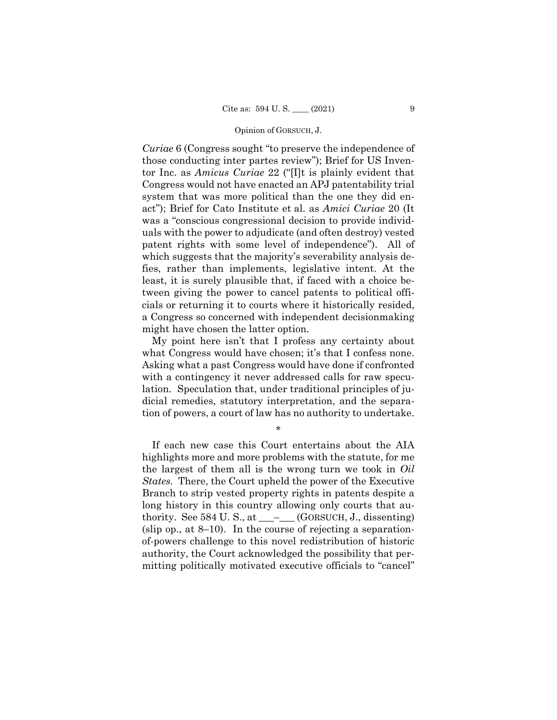*Curiae* 6 (Congress sought "to preserve the independence of those conducting inter partes review"); Brief for US Inventor Inc. as *Amicus Curiae* 22 ("[I]t is plainly evident that Congress would not have enacted an APJ patentability trial system that was more political than the one they did enact"); Brief for Cato Institute et al. as *Amici Curiae* 20 (It was a "conscious congressional decision to provide individuals with the power to adjudicate (and often destroy) vested patent rights with some level of independence"). All of which suggests that the majority's severability analysis defies, rather than implements, legislative intent. At the least, it is surely plausible that, if faced with a choice between giving the power to cancel patents to political officials or returning it to courts where it historically resided, a Congress so concerned with independent decisionmaking might have chosen the latter option.

My point here isn't that I profess any certainty about what Congress would have chosen; it's that I confess none. Asking what a past Congress would have done if confronted with a contingency it never addressed calls for raw speculation. Speculation that, under traditional principles of judicial remedies, statutory interpretation, and the separation of powers, a court of law has no authority to undertake.

\*

If each new case this Court entertains about the AIA highlights more and more problems with the statute, for me the largest of them all is the wrong turn we took in *Oil States*. There, the Court upheld the power of the Executive Branch to strip vested property rights in patents despite a long history in this country allowing only courts that authority. See  $584$  U.S., at  $\_\_\_\_\_\$  (GORSUCH, J., dissenting) (slip op., at  $8-10$ ). In the course of rejecting a separationof-powers challenge to this novel redistribution of historic authority, the Court acknowledged the possibility that permitting politically motivated executive officials to "cancel"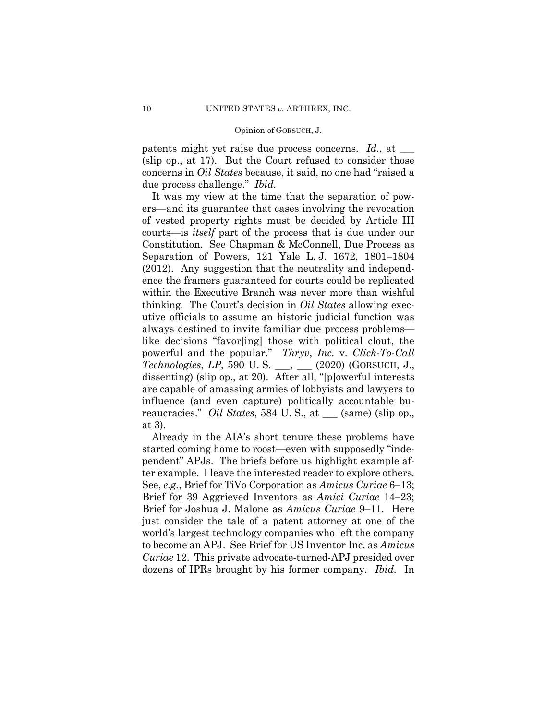#### Opinion of GORSUCH, J.

patents might yet raise due process concerns. *Id.*, at  $\equiv$ (slip op., at 17). But the Court refused to consider those concerns in *Oil States* because, it said, no one had "raised a due process challenge." *Ibid.* 

It was my view at the time that the separation of powers—and its guarantee that cases involving the revocation of vested property rights must be decided by Article III courts—is *itself* part of the process that is due under our Constitution. See Chapman & McConnell, Due Process as Separation of Powers, 121 Yale L. J. 1672, 1801–1804 (2012). Any suggestion that the neutrality and independence the framers guaranteed for courts could be replicated within the Executive Branch was never more than wishful thinking. The Court's decision in *Oil States* allowing executive officials to assume an historic judicial function was always destined to invite familiar due process problems like decisions "favor[ing] those with political clout, the powerful and the popular." *Thryv*, *Inc.* v. *Click-To-Call Technologies*, *LP*, 590 U. S. \_\_\_, \_\_\_ (2020) (GORSUCH, J., dissenting) (slip op., at 20). After all, "[p]owerful interests are capable of amassing armies of lobbyists and lawyers to influence (and even capture) politically accountable bureaucracies." *Oil States*, 584 U. S., at \_\_\_ (same) (slip op., at 3).

 dozens of IPRs brought by his former company. *Ibid.* In Already in the AIA's short tenure these problems have started coming home to roost—even with supposedly "independent" APJs. The briefs before us highlight example after example. I leave the interested reader to explore others. See, *e.g.*, Brief for TiVo Corporation as *Amicus Curiae* 6–13; Brief for 39 Aggrieved Inventors as *Amici Curiae* 14–23; Brief for Joshua J. Malone as *Amicus Curiae* 9–11. Here just consider the tale of a patent attorney at one of the world's largest technology companies who left the company to become an APJ. See Brief for US Inventor Inc. as *Amicus Curiae* 12. This private advocate-turned-APJ presided over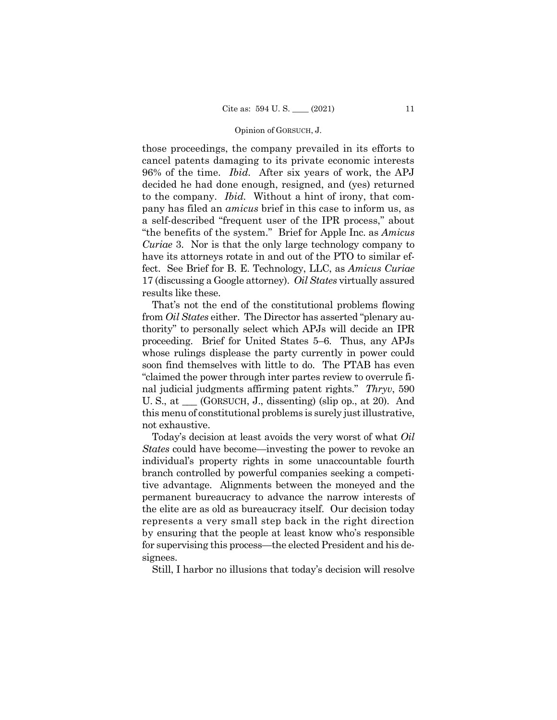#### Opinion of GORSUCH, J.

those proceedings, the company prevailed in its efforts to cancel patents damaging to its private economic interests 96% of the time. *Ibid.* After six years of work, the APJ decided he had done enough, resigned, and (yes) returned to the company. *Ibid.* Without a hint of irony, that company has filed an *amicus* brief in this case to inform us, as a self-described "frequent user of the IPR process," about "the benefits of the system." Brief for Apple Inc. as *Amicus Curiae* 3. Nor is that the only large technology company to have its attorneys rotate in and out of the PTO to similar effect. See Brief for B. E. Technology, LLC, as *Amicus Curiae*  17 (discussing a Google attorney). *Oil States* virtually assured results like these.

 That's not the end of the constitutional problems flowing from *Oil States* either. The Director has asserted "plenary authority" to personally select which APJs will decide an IPR proceeding. Brief for United States 5–6. Thus, any APJs whose rulings displease the party currently in power could soon find themselves with little to do. The PTAB has even "claimed the power through inter partes review to overrule final judicial judgments affirming patent rights." *Thryv*, 590 U. S., at \_\_\_ (GORSUCH, J., dissenting) (slip op., at 20). And this menu of constitutional problems is surely just illustrative, not exhaustive.

 Today's decision at least avoids the very worst of what *Oil States* could have become—investing the power to revoke an individual's property rights in some unaccountable fourth branch controlled by powerful companies seeking a competitive advantage. Alignments between the moneyed and the permanent bureaucracy to advance the narrow interests of the elite are as old as bureaucracy itself. Our decision today represents a very small step back in the right direction by ensuring that the people at least know who's responsible for supervising this process—the elected President and his designees.

Still, I harbor no illusions that today's decision will resolve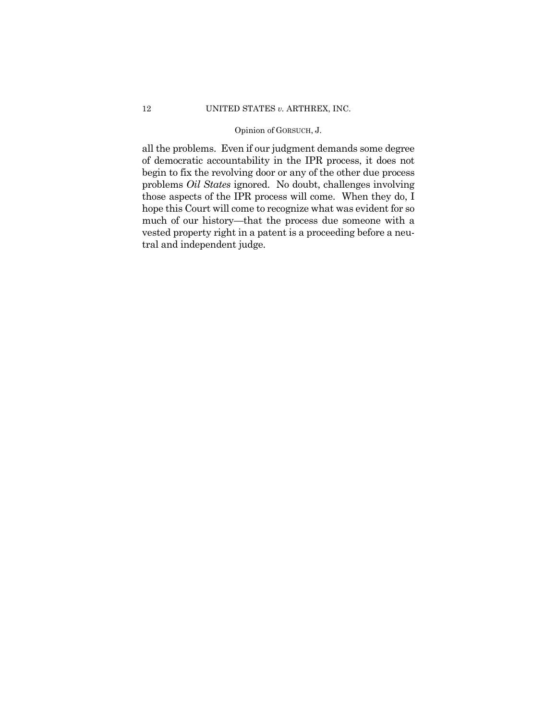### Opinion of GORSUCH, J.

 all the problems. Even if our judgment demands some degree of democratic accountability in the IPR process, it does not begin to fix the revolving door or any of the other due process problems *Oil States* ignored. No doubt, challenges involving those aspects of the IPR process will come. When they do, I hope this Court will come to recognize what was evident for so much of our history—that the process due someone with a vested property right in a patent is a proceeding before a neutral and independent judge.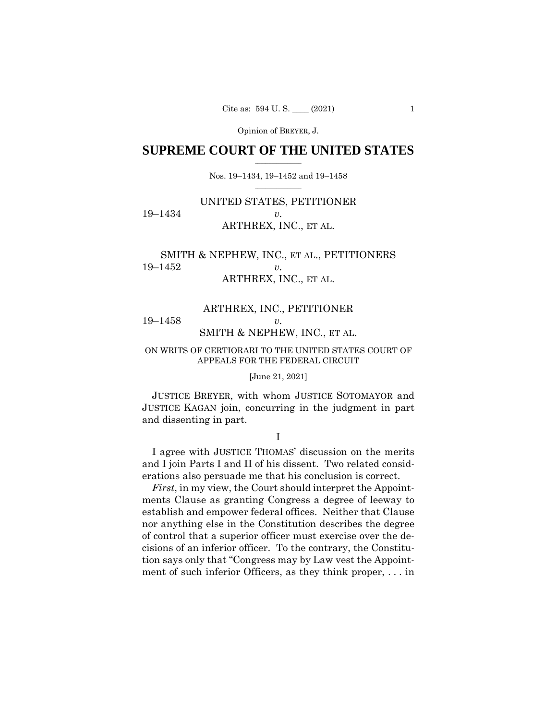## $\frac{1}{2}$  , where  $\frac{1}{2}$ **SUPREME COURT OF THE UNITED STATES**

 $\frac{1}{2}$  ,  $\frac{1}{2}$  ,  $\frac{1}{2}$  ,  $\frac{1}{2}$  ,  $\frac{1}{2}$  ,  $\frac{1}{2}$ Nos. 19–1434, 19–1452 and 19–1458

# UNITED STATES, PETITIONER 19–1434 *v.*  ARTHREX, INC., ET AL.

# SMITH & NEPHEW, INC., ET AL., PETITIONERS 19–1452 *v.*  ARTHREX, INC., ET AL.

# ARTHREX, INC., PETITIONER 19–1458 *v.*  SMITH & NEPHEW, INC., ET AL.

### ON WRITS OF CERTIORARI TO THE UNITED STATES COURT OF APPEALS FOR THE FEDERAL CIRCUIT

#### [June 21, 2021]

JUSTICE BREYER, with whom JUSTICE SOTOMAYOR and JUSTICE KAGAN join, concurring in the judgment in part and dissenting in part.

I

I agree with JUSTICE THOMAS' discussion on the merits and I join Parts I and II of his dissent. Two related considerations also persuade me that his conclusion is correct.

*First*, in my view, the Court should interpret the Appointments Clause as granting Congress a degree of leeway to establish and empower federal offices. Neither that Clause nor anything else in the Constitution describes the degree of control that a superior officer must exercise over the decisions of an inferior officer. To the contrary, the Constitution says only that "Congress may by Law vest the Appointment of such inferior Officers, as they think proper, . . . in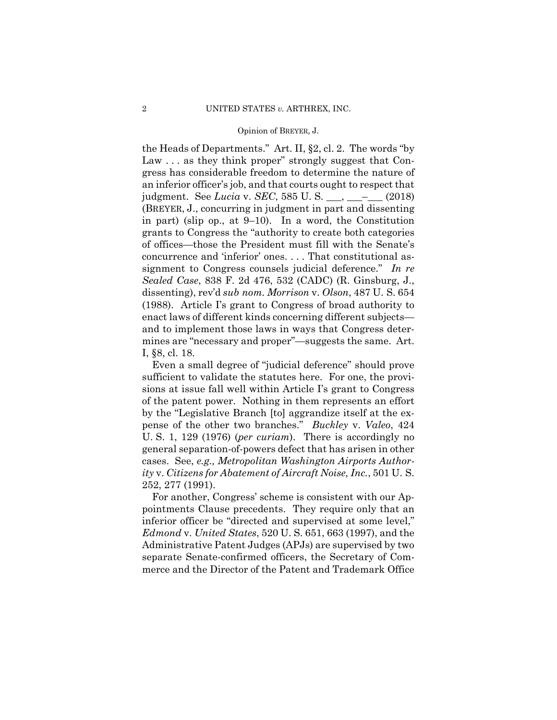the Heads of Departments." Art. II, §2, cl. 2. The words "by Law ... as they think proper" strongly suggest that Congress has considerable freedom to determine the nature of an inferior officer's job, and that courts ought to respect that judgment. See *Lucia* v. *SEC*, 585 U. S. \_\_\_, \_\_\_–\_\_\_ (2018) (BREYER, J., concurring in judgment in part and dissenting in part) (slip op., at 9–10). In a word, the Constitution grants to Congress the "authority to create both categories of offices—those the President must fill with the Senate's concurrence and 'inferior' ones. . . . That constitutional assignment to Congress counsels judicial deference." *In re Sealed Case*, 838 F. 2d 476, 532 (CADC) (R. Ginsburg, J., dissenting), rev'd *sub nom. Morrison* v. *Olson*, 487 U. S. 654 (1988). Article I's grant to Congress of broad authority to enact laws of different kinds concerning different subjects and to implement those laws in ways that Congress determines are "necessary and proper"—suggests the same. Art. I, §8, cl. 18.

Even a small degree of "judicial deference" should prove sufficient to validate the statutes here. For one, the provisions at issue fall well within Article I's grant to Congress of the patent power. Nothing in them represents an effort by the "Legislative Branch [to] aggrandize itself at the expense of the other two branches." *Buckley* v. *Valeo*, 424 U. S. 1, 129 (1976) (*per curiam*). There is accordingly no general separation-of-powers defect that has arisen in other cases. See, *e.g., Metropolitan Washington Airports Authority* v. *Citizens for Abatement of Aircraft Noise, Inc.*, 501 U. S. 252, 277 (1991).

For another, Congress' scheme is consistent with our Appointments Clause precedents. They require only that an inferior officer be "directed and supervised at some level," *Edmond* v. *United States*, 520 U. S. 651, 663 (1997), and the Administrative Patent Judges (APJs) are supervised by two separate Senate-confirmed officers, the Secretary of Commerce and the Director of the Patent and Trademark Office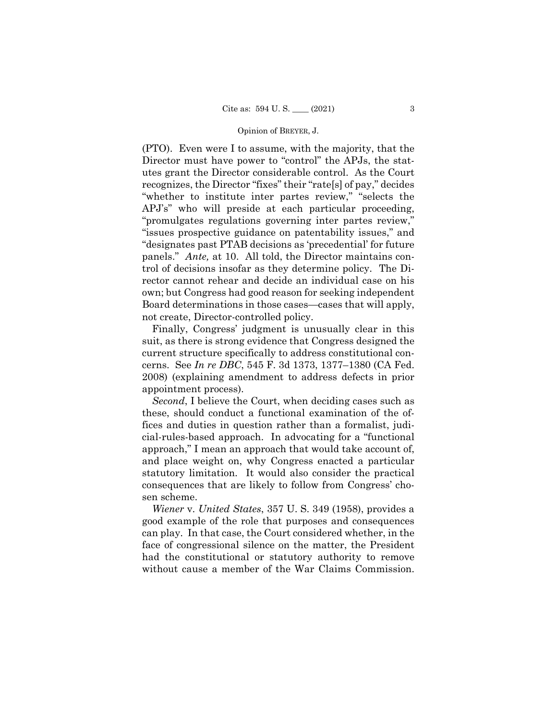(PTO). Even were I to assume, with the majority, that the Director must have power to "control" the APJs, the statutes grant the Director considerable control. As the Court recognizes, the Director "fixes" their "rate[s] of pay," decides "whether to institute inter partes review," "selects the APJ's" who will preside at each particular proceeding, "promulgates regulations governing inter partes review," "issues prospective guidance on patentability issues," and "designates past PTAB decisions as 'precedential' for future panels." *Ante,* at 10. All told, the Director maintains control of decisions insofar as they determine policy. The Director cannot rehear and decide an individual case on his own; but Congress had good reason for seeking independent Board determinations in those cases—cases that will apply, not create, Director-controlled policy.

Finally, Congress' judgment is unusually clear in this suit, as there is strong evidence that Congress designed the current structure specifically to address constitutional concerns. See *In re DBC*, 545 F. 3d 1373, 1377–1380 (CA Fed. 2008) (explaining amendment to address defects in prior appointment process).

*Second*, I believe the Court, when deciding cases such as these, should conduct a functional examination of the offices and duties in question rather than a formalist, judicial-rules-based approach. In advocating for a "functional approach," I mean an approach that would take account of, and place weight on, why Congress enacted a particular statutory limitation. It would also consider the practical consequences that are likely to follow from Congress' chosen scheme.

*Wiener* v. *United States*, 357 U. S. 349 (1958), provides a good example of the role that purposes and consequences can play. In that case, the Court considered whether, in the face of congressional silence on the matter, the President had the constitutional or statutory authority to remove without cause a member of the War Claims Commission.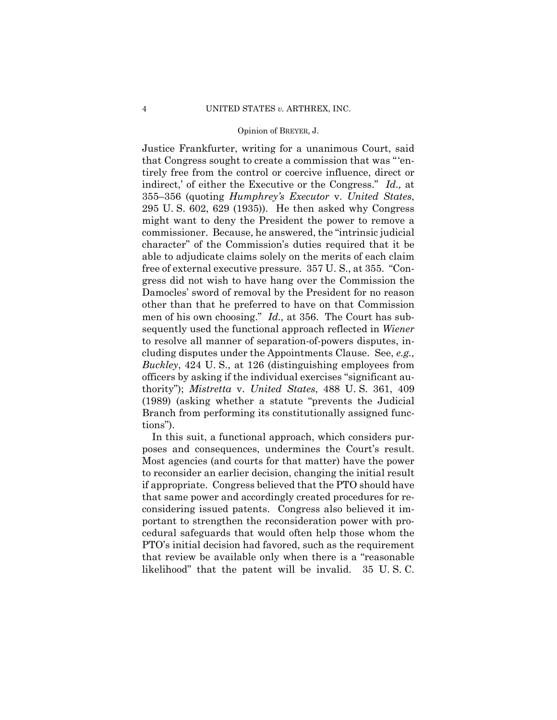Justice Frankfurter, writing for a unanimous Court, said that Congress sought to create a commission that was "'entirely free from the control or coercive influence, direct or indirect,' of either the Executive or the Congress." *Id.,* at 355–356 (quoting *Humphrey's Executor* v. *United States*, 295 U. S. 602, 629 (1935)). He then asked why Congress might want to deny the President the power to remove a commissioner. Because, he answered, the "intrinsic judicial character" of the Commission's duties required that it be able to adjudicate claims solely on the merits of each claim free of external executive pressure. 357 U. S., at 355. "Congress did not wish to have hang over the Commission the Damocles' sword of removal by the President for no reason other than that he preferred to have on that Commission men of his own choosing." *Id.,* at 356. The Court has subsequently used the functional approach reflected in *Wiener*  to resolve all manner of separation-of-powers disputes, including disputes under the Appointments Clause. See, *e.g., Buckley*, 424 U. S., at 126 (distinguishing employees from officers by asking if the individual exercises "significant authority"); *Mistretta* v. *United States*, 488 U. S. 361, 409 (1989) (asking whether a statute "prevents the Judicial Branch from performing its constitutionally assigned functions").

In this suit, a functional approach, which considers purposes and consequences, undermines the Court's result. Most agencies (and courts for that matter) have the power to reconsider an earlier decision, changing the initial result if appropriate. Congress believed that the PTO should have that same power and accordingly created procedures for reconsidering issued patents. Congress also believed it important to strengthen the reconsideration power with procedural safeguards that would often help those whom the PTO's initial decision had favored, such as the requirement that review be available only when there is a "reasonable likelihood" that the patent will be invalid. 35 U. S. C.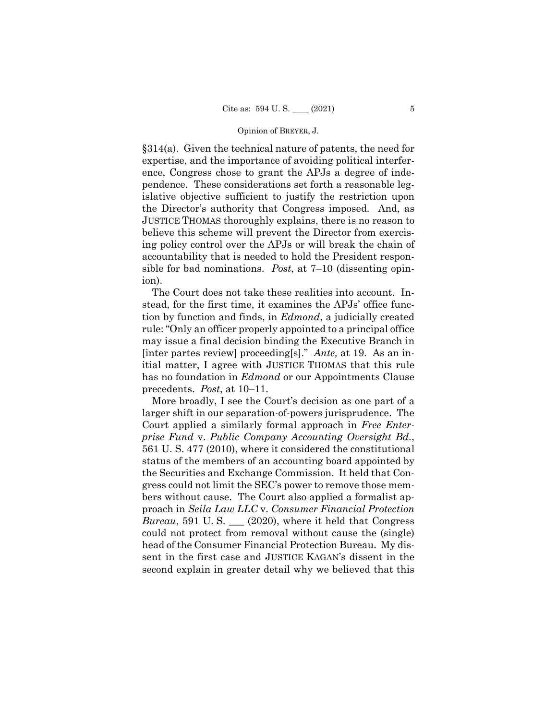§314(a). Given the technical nature of patents, the need for expertise, and the importance of avoiding political interference, Congress chose to grant the APJs a degree of independence. These considerations set forth a reasonable legislative objective sufficient to justify the restriction upon the Director's authority that Congress imposed. And, as JUSTICE THOMAS thoroughly explains, there is no reason to believe this scheme will prevent the Director from exercising policy control over the APJs or will break the chain of accountability that is needed to hold the President responsible for bad nominations. *Post*, at 7–10 (dissenting opinion).

The Court does not take these realities into account. Instead, for the first time, it examines the APJs' office function by function and finds, in *Edmond*, a judicially created rule: "Only an officer properly appointed to a principal office may issue a final decision binding the Executive Branch in [inter partes review] proceeding[s]." *Ante,* at 19. As an initial matter, I agree with JUSTICE THOMAS that this rule has no foundation in *Edmond* or our Appointments Clause precedents. *Post*, at 10–11.

More broadly, I see the Court's decision as one part of a larger shift in our separation-of-powers jurisprudence. The Court applied a similarly formal approach in *Free Enterprise Fund* v. *Public Company Accounting Oversight Bd.*, 561 U. S. 477 (2010), where it considered the constitutional status of the members of an accounting board appointed by the Securities and Exchange Commission. It held that Congress could not limit the SEC's power to remove those members without cause. The Court also applied a formalist approach in *Seila Law LLC* v. *Consumer Financial Protection Bureau*, 591 U. S. \_\_\_ (2020), where it held that Congress could not protect from removal without cause the (single) head of the Consumer Financial Protection Bureau. My dissent in the first case and JUSTICE KAGAN's dissent in the second explain in greater detail why we believed that this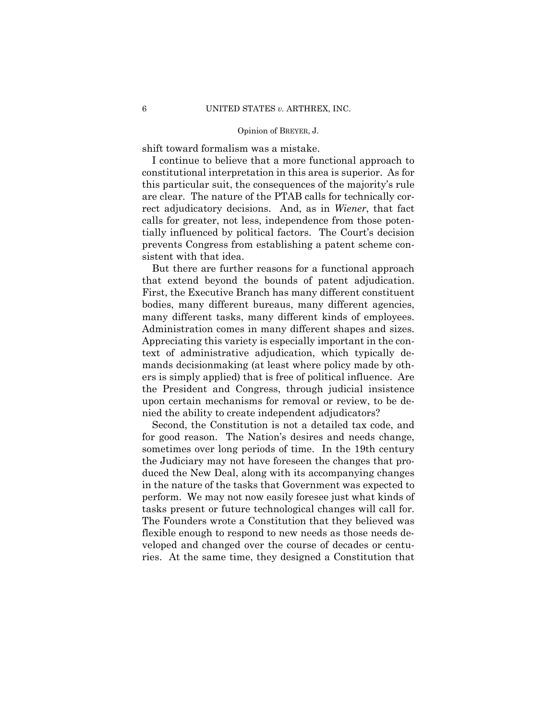shift toward formalism was a mistake.

I continue to believe that a more functional approach to constitutional interpretation in this area is superior. As for this particular suit, the consequences of the majority's rule are clear. The nature of the PTAB calls for technically correct adjudicatory decisions. And, as in *Wiener*, that fact calls for greater, not less, independence from those potentially influenced by political factors. The Court's decision prevents Congress from establishing a patent scheme consistent with that idea.

 that extend beyond the bounds of patent adjudication. But there are further reasons for a functional approach First, the Executive Branch has many different constituent bodies, many different bureaus, many different agencies, many different tasks, many different kinds of employees. Administration comes in many different shapes and sizes. Appreciating this variety is especially important in the context of administrative adjudication, which typically demands decisionmaking (at least where policy made by others is simply applied) that is free of political influence. Are the President and Congress, through judicial insistence upon certain mechanisms for removal or review, to be denied the ability to create independent adjudicators?

Second, the Constitution is not a detailed tax code, and for good reason. The Nation's desires and needs change, sometimes over long periods of time. In the 19th century the Judiciary may not have foreseen the changes that produced the New Deal, along with its accompanying changes in the nature of the tasks that Government was expected to perform. We may not now easily foresee just what kinds of tasks present or future technological changes will call for. The Founders wrote a Constitution that they believed was flexible enough to respond to new needs as those needs developed and changed over the course of decades or centuries. At the same time, they designed a Constitution that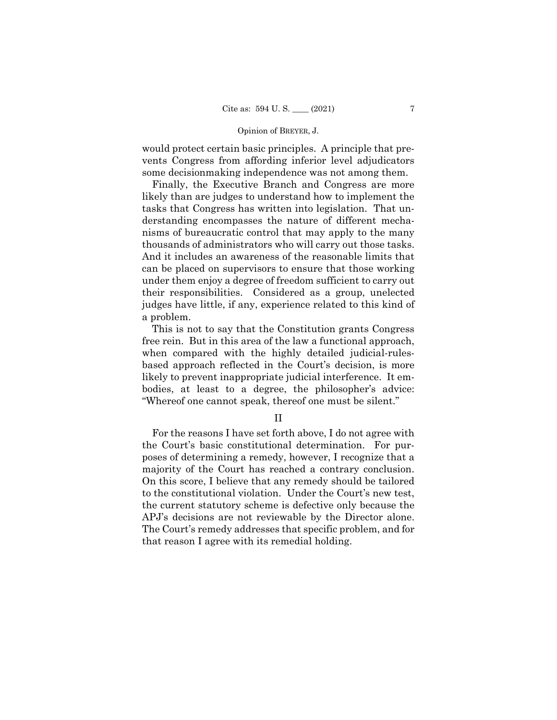would protect certain basic principles. A principle that prevents Congress from affording inferior level adjudicators some decisionmaking independence was not among them.

Finally, the Executive Branch and Congress are more likely than are judges to understand how to implement the tasks that Congress has written into legislation. That understanding encompasses the nature of different mechanisms of bureaucratic control that may apply to the many thousands of administrators who will carry out those tasks. And it includes an awareness of the reasonable limits that can be placed on supervisors to ensure that those working under them enjoy a degree of freedom sufficient to carry out their responsibilities. Considered as a group, unelected judges have little, if any, experience related to this kind of a problem.

This is not to say that the Constitution grants Congress free rein. But in this area of the law a functional approach, when compared with the highly detailed judicial-rulesbased approach reflected in the Court's decision, is more likely to prevent inappropriate judicial interference. It embodies, at least to a degree, the philosopher's advice: "Whereof one cannot speak, thereof one must be silent."

II

For the reasons I have set forth above, I do not agree with the Court's basic constitutional determination. For purposes of determining a remedy, however, I recognize that a majority of the Court has reached a contrary conclusion. On this score, I believe that any remedy should be tailored to the constitutional violation. Under the Court's new test, the current statutory scheme is defective only because the APJ's decisions are not reviewable by the Director alone. The Court's remedy addresses that specific problem, and for that reason I agree with its remedial holding.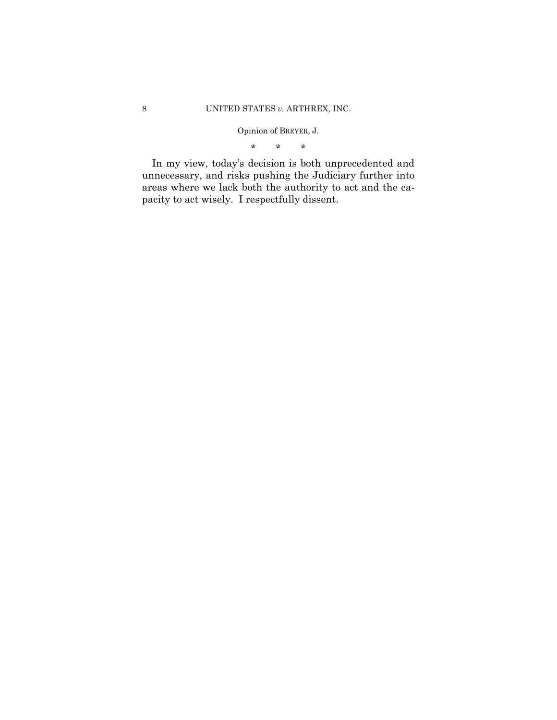\* \* \*

In my view, today's decision is both unprecedented and unnecessary, and risks pushing the Judiciary further into areas where we lack both the authority to act and the capacity to act wisely. I respectfully dissent.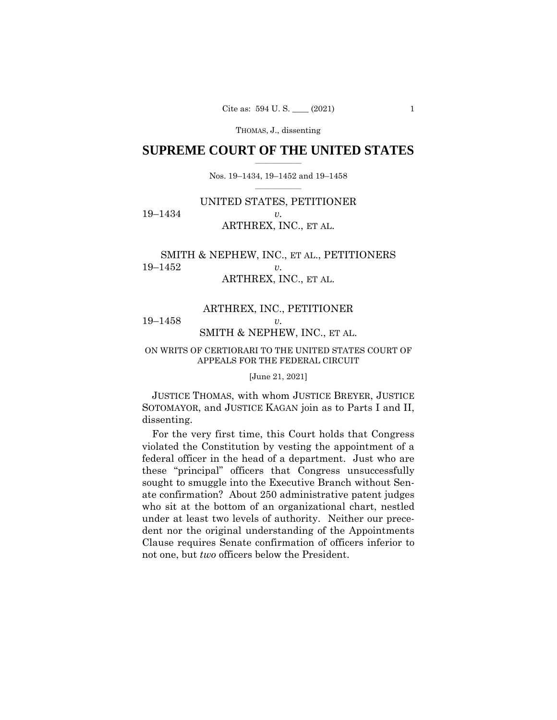## $\frac{1}{2}$  , where  $\frac{1}{2}$ **SUPREME COURT OF THE UNITED STATES**

 $\frac{1}{2}$  ,  $\frac{1}{2}$  ,  $\frac{1}{2}$  ,  $\frac{1}{2}$  ,  $\frac{1}{2}$  ,  $\frac{1}{2}$ Nos. 19–1434, 19–1452 and 19–1458

# UNITED STATES, PETITIONER 19–1434 *v.*  ARTHREX, INC., ET AL.

# SMITH & NEPHEW, INC., ET AL., PETITIONERS 19–1452 *v.*  ARTHREX, INC., ET AL.

# ARTHREX, INC., PETITIONER 19–1458 *v.*  SMITH & NEPHEW, INC., ET AL.

### ON WRITS OF CERTIORARI TO THE UNITED STATES COURT OF APPEALS FOR THE FEDERAL CIRCUIT

[June 21, 2021]

 JUSTICE THOMAS, with whom JUSTICE BREYER, JUSTICE SOTOMAYOR, and JUSTICE KAGAN join as to Parts I and II, dissenting.

For the very first time, this Court holds that Congress violated the Constitution by vesting the appointment of a federal officer in the head of a department. Just who are these "principal" officers that Congress unsuccessfully sought to smuggle into the Executive Branch without Senate confirmation? About 250 administrative patent judges who sit at the bottom of an organizational chart, nestled under at least two levels of authority. Neither our precedent nor the original understanding of the Appointments Clause requires Senate confirmation of officers inferior to not one, but *two* officers below the President.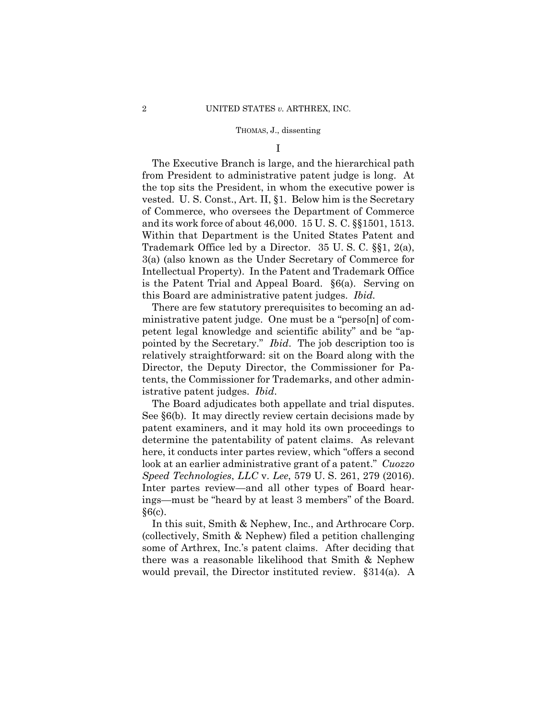I

The Executive Branch is large, and the hierarchical path from President to administrative patent judge is long. At the top sits the President, in whom the executive power is vested. U. S. Const., Art. II, §1. Below him is the Secretary of Commerce, who oversees the Department of Commerce and its work force of about 46,000. 15 U. S. C. §§1501, 1513. Within that Department is the United States Patent and Trademark Office led by a Director. 35 U. S. C. §§1, 2(a), 3(a) (also known as the Under Secretary of Commerce for Intellectual Property). In the Patent and Trademark Office is the Patent Trial and Appeal Board. §6(a). Serving on this Board are administrative patent judges. *Ibid.* 

 istrative patent judges. *Ibid*. There are few statutory prerequisites to becoming an administrative patent judge. One must be a "perso[n] of competent legal knowledge and scientific ability" and be "appointed by the Secretary." *Ibid*. The job description too is relatively straightforward: sit on the Board along with the Director, the Deputy Director, the Commissioner for Patents, the Commissioner for Trademarks, and other admin-

The Board adjudicates both appellate and trial disputes. See §6(b). It may directly review certain decisions made by patent examiners, and it may hold its own proceedings to determine the patentability of patent claims. As relevant here, it conducts inter partes review, which "offers a second look at an earlier administrative grant of a patent." *Cuozzo Speed Technologies*, *LLC* v. *Lee*, 579 U. S. 261, 279 (2016). Inter partes review—and all other types of Board hearings—must be "heard by at least 3 members" of the Board.  $§6(c)$ .

 would prevail, the Director instituted review. §314(a). A In this suit, Smith & Nephew, Inc., and Arthrocare Corp. (collectively, Smith & Nephew) filed a petition challenging some of Arthrex, Inc.'s patent claims. After deciding that there was a reasonable likelihood that Smith & Nephew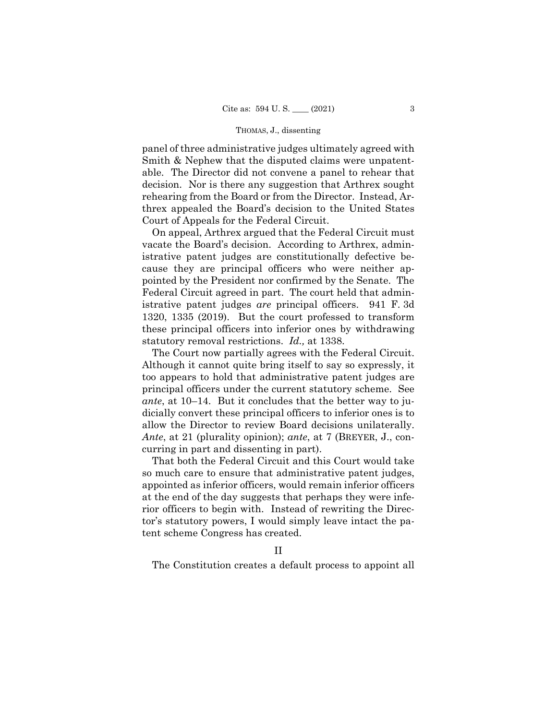panel of three administrative judges ultimately agreed with Smith & Nephew that the disputed claims were unpatentable. The Director did not convene a panel to rehear that decision. Nor is there any suggestion that Arthrex sought rehearing from the Board or from the Director. Instead, Arthrex appealed the Board's decision to the United States Court of Appeals for the Federal Circuit.

On appeal, Arthrex argued that the Federal Circuit must vacate the Board's decision. According to Arthrex, administrative patent judges are constitutionally defective because they are principal officers who were neither appointed by the President nor confirmed by the Senate. The Federal Circuit agreed in part. The court held that administrative patent judges *are* principal officers. 941 F. 3d 1320, 1335 (2019). But the court professed to transform these principal officers into inferior ones by withdrawing statutory removal restrictions. *Id.,* at 1338.

The Court now partially agrees with the Federal Circuit. Although it cannot quite bring itself to say so expressly, it too appears to hold that administrative patent judges are principal officers under the current statutory scheme. See *ante*, at 10–14. But it concludes that the better way to judicially convert these principal officers to inferior ones is to allow the Director to review Board decisions unilaterally. *Ante*, at 21 (plurality opinion); *ante*, at 7 (BREYER, J., concurring in part and dissenting in part).

That both the Federal Circuit and this Court would take so much care to ensure that administrative patent judges, appointed as inferior officers, would remain inferior officers at the end of the day suggests that perhaps they were inferior officers to begin with. Instead of rewriting the Director's statutory powers, I would simply leave intact the patent scheme Congress has created.

## II

The Constitution creates a default process to appoint all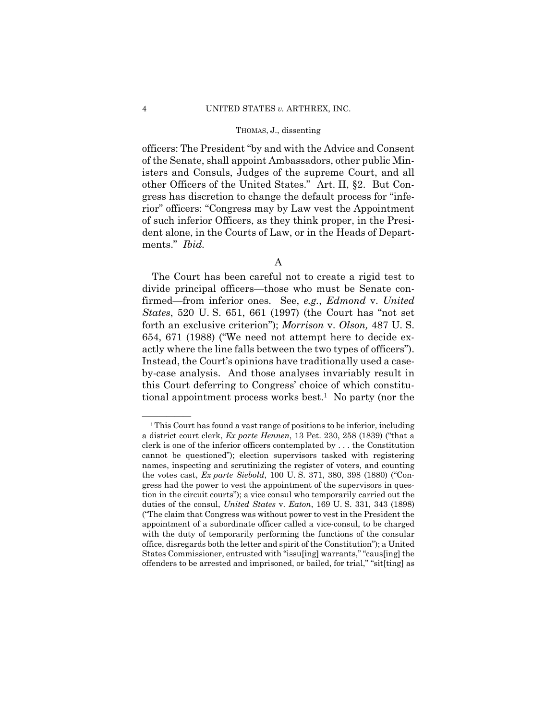officers: The President "by and with the Advice and Consent of the Senate, shall appoint Ambassadors, other public Ministers and Consuls, Judges of the supreme Court, and all other Officers of the United States." Art. II, §2. But Congress has discretion to change the default process for "inferior" officers: "Congress may by Law vest the Appointment of such inferior Officers, as they think proper, in the President alone, in the Courts of Law, or in the Heads of Departments." *Ibid.* 

The Court has been careful not to create a rigid test to divide principal officers—those who must be Senate confirmed—from inferior ones. See, *e.g.*, *Edmond* v. *United States*, 520 U. S. 651, 661 (1997) (the Court has "not set forth an exclusive criterion"); *Morrison* v. *Olson,* 487 U. S. 654, 671 (1988) ("We need not attempt here to decide exactly where the line falls between the two types of officers"). Instead, the Court's opinions have traditionally used a caseby-case analysis. And those analyses invariably result in this Court deferring to Congress' choice of which constitutional appointment process works best.<sup>1</sup> No party (nor the

A

<sup>&</sup>lt;sup>1</sup>This Court has found a vast range of positions to be inferior, including a district court clerk, *Ex parte Hennen*, 13 Pet. 230, 258 (1839) ("that a clerk is one of the inferior officers contemplated by . . . the Constitution cannot be questioned"); election supervisors tasked with registering names, inspecting and scrutinizing the register of voters, and counting the votes cast, *Ex parte Siebold*, 100 U. S. 371, 380, 398 (1880) ("Congress had the power to vest the appointment of the supervisors in question in the circuit courts"); a vice consul who temporarily carried out the duties of the consul, *United States* v. *Eaton*, 169 U. S. 331, 343 (1898) ("The claim that Congress was without power to vest in the President the appointment of a subordinate officer called a vice-consul, to be charged with the duty of temporarily performing the functions of the consular office, disregards both the letter and spirit of the Constitution"); a United States Commissioner, entrusted with "issu[ing] warrants," "caus[ing] the offenders to be arrested and imprisoned, or bailed, for trial," "sit[ting] as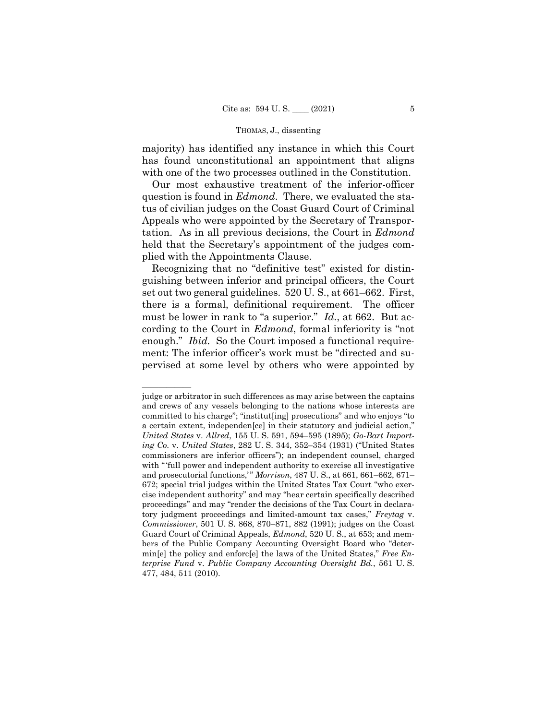majority) has identified any instance in which this Court has found unconstitutional an appointment that aligns with one of the two processes outlined in the Constitution.

Our most exhaustive treatment of the inferior-officer question is found in *Edmond*. There, we evaluated the status of civilian judges on the Coast Guard Court of Criminal Appeals who were appointed by the Secretary of Transportation. As in all previous decisions, the Court in *Edmond*  held that the Secretary's appointment of the judges complied with the Appointments Clause.

Recognizing that no "definitive test" existed for distinguishing between inferior and principal officers, the Court set out two general guidelines. 520 U. S., at 661–662. First, there is a formal, definitional requirement. The officer must be lower in rank to "a superior." *Id.*, at 662. But according to the Court in *Edmond*, formal inferiority is "not enough." *Ibid.* So the Court imposed a functional requirement: The inferior officer's work must be "directed and supervised at some level by others who were appointed by

judge or arbitrator in such differences as may arise between the captains and crews of any vessels belonging to the nations whose interests are committed to his charge"; "institut[ing] prosecutions" and who enjoys "to a certain extent, independen[ce] in their statutory and judicial action," *United States* v. *Allred*, 155 U. S. 591, 594–595 (1895); *Go-Bart Importing Co.* v. *United States*, 282 U. S. 344, 352–354 (1931) ("United States commissioners are inferior officers"); an independent counsel, charged with "'full power and independent authority to exercise all investigative and prosecutorial functions," Morrison, 487 U. S., at 661, 661-662, 671-672; special trial judges within the United States Tax Court "who exercise independent authority" and may "hear certain specifically described proceedings" and may "render the decisions of the Tax Court in declaratory judgment proceedings and limited-amount tax cases," *Freytag* v. *Commissioner*, 501 U. S. 868, 870–871, 882 (1991); judges on the Coast Guard Court of Criminal Appeals, *Edmond*, 520 U. S., at 653; and members of the Public Company Accounting Oversight Board who "determin[e] the policy and enforc[e] the laws of the United States," *Free Enterprise Fund* v. *Public Company Accounting Oversight Bd.*, 561 U. S. 477, 484, 511 (2010).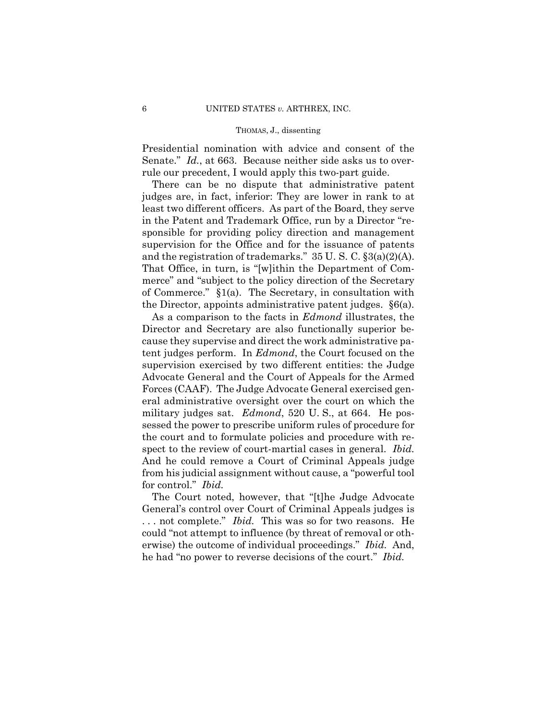Presidential nomination with advice and consent of the Senate." *Id.*, at 663. Because neither side asks us to overrule our precedent, I would apply this two-part guide.

There can be no dispute that administrative patent judges are, in fact, inferior: They are lower in rank to at least two different officers. As part of the Board, they serve in the Patent and Trademark Office, run by a Director "responsible for providing policy direction and management supervision for the Office and for the issuance of patents and the registration of trademarks." 35 U. S. C. §3(a)(2)(A). That Office, in turn, is "[w]ithin the Department of Commerce" and "subject to the policy direction of the Secretary of Commerce." §1(a). The Secretary, in consultation with the Director, appoints administrative patent judges. §6(a).

As a comparison to the facts in *Edmond* illustrates, the Director and Secretary are also functionally superior because they supervise and direct the work administrative patent judges perform. In *Edmond*, the Court focused on the supervision exercised by two different entities: the Judge Advocate General and the Court of Appeals for the Armed Forces (CAAF). The Judge Advocate General exercised general administrative oversight over the court on which the military judges sat. *Edmond*, 520 U. S., at 664. He possessed the power to prescribe uniform rules of procedure for the court and to formulate policies and procedure with respect to the review of court-martial cases in general. *Ibid.* And he could remove a Court of Criminal Appeals judge from his judicial assignment without cause, a "powerful tool for control." *Ibid.* 

The Court noted, however, that "[t]he Judge Advocate General's control over Court of Criminal Appeals judges is . . . not complete." *Ibid.* This was so for two reasons. He could "not attempt to influence (by threat of removal or otherwise) the outcome of individual proceedings." *Ibid.* And, he had "no power to reverse decisions of the court." *Ibid.*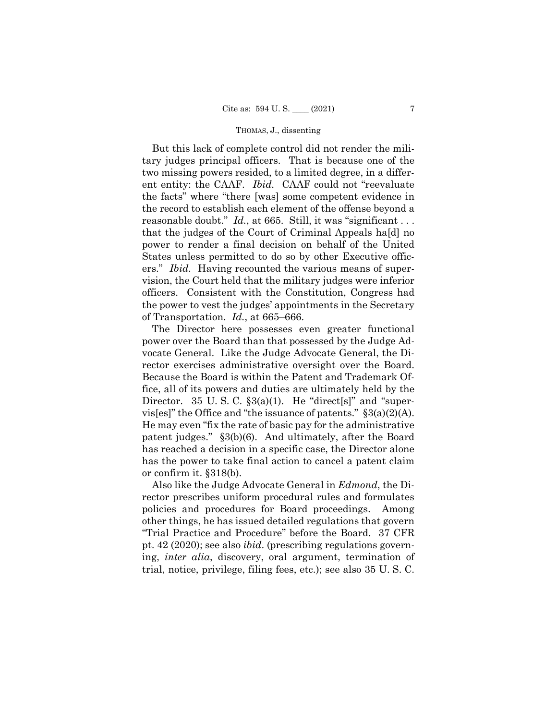ers." *Ibid.* Having recounted the various means of super-But this lack of complete control did not render the military judges principal officers. That is because one of the two missing powers resided, to a limited degree, in a different entity: the CAAF. *Ibid.* CAAF could not "reevaluate the facts" where "there [was] some competent evidence in the record to establish each element of the offense beyond a reasonable doubt." *Id.*, at 665. Still, it was "significant ... that the judges of the Court of Criminal Appeals ha[d] no power to render a final decision on behalf of the United States unless permitted to do so by other Executive officvision, the Court held that the military judges were inferior officers. Consistent with the Constitution, Congress had the power to vest the judges' appointments in the Secretary of Transportation. *Id.*, at 665–666.

The Director here possesses even greater functional power over the Board than that possessed by the Judge Advocate General. Like the Judge Advocate General, the Director exercises administrative oversight over the Board. Because the Board is within the Patent and Trademark Office, all of its powers and duties are ultimately held by the Director. 35 U.S.C.  $\S3(a)(1)$ . He "direct[s]" and "supervis[es]" the Office and "the issuance of patents."  $\S 3(a)(2)(A)$ . He may even "fix the rate of basic pay for the administrative patent judges." §3(b)(6). And ultimately, after the Board has reached a decision in a specific case, the Director alone has the power to take final action to cancel a patent claim or confirm it. §318(b).

Also like the Judge Advocate General in *Edmond*, the Director prescribes uniform procedural rules and formulates policies and procedures for Board proceedings. Among other things, he has issued detailed regulations that govern "Trial Practice and Procedure" before the Board. 37 CFR pt. 42 (2020); see also *ibid*. (prescribing regulations governing, *inter alia*, discovery, oral argument, termination of trial, notice, privilege, filing fees, etc.); see also 35 U. S. C.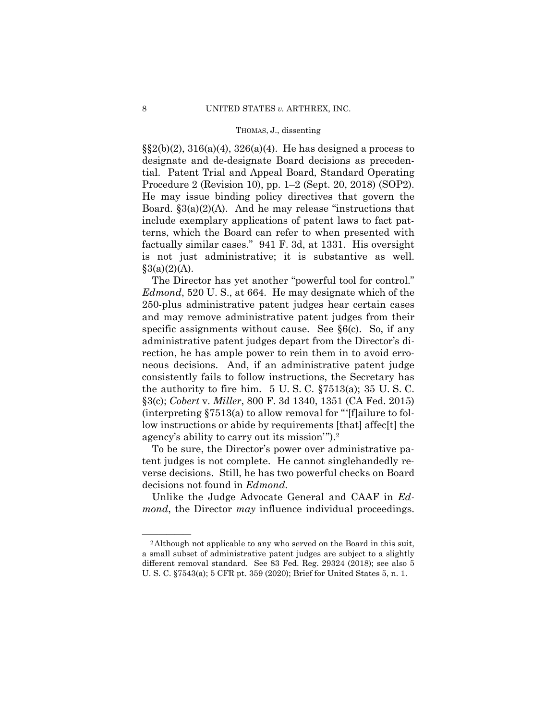Procedure 2 (Revision 10), pp. 1–2 (Sept. 20, 2018) (SOP2). is not just administrative; it is substantive as well.  $\S(2(b)(2), 316(a)(4), 326(a)(4)$ . He has designed a process to designate and de-designate Board decisions as precedential. Patent Trial and Appeal Board, Standard Operating He may issue binding policy directives that govern the Board.  $\S3(a)(2)(A)$ . And he may release "instructions that include exemplary applications of patent laws to fact patterns, which the Board can refer to when presented with factually similar cases." 941 F. 3d, at 1331. His oversight  $§3(a)(2)(A).$ 

The Director has yet another "powerful tool for control." *Edmond*, 520 U. S., at 664. He may designate which of the 250-plus administrative patent judges hear certain cases and may remove administrative patent judges from their specific assignments without cause. See §6(c). So, if any administrative patent judges depart from the Director's direction, he has ample power to rein them in to avoid erroneous decisions. And, if an administrative patent judge consistently fails to follow instructions, the Secretary has the authority to fire him. 5 U. S. C. §7513(a); 35 U. S. C. §3(c); *Cobert* v. *Miller*, 800 F. 3d 1340, 1351 (CA Fed. 2015) (interpreting  $$7513(a)$  to allow removal for "[f]ailure to follow instructions or abide by requirements [that] affec[t] the agency's ability to carry out its mission'").2

To be sure, the Director's power over administrative patent judges is not complete. He cannot singlehandedly reverse decisions. Still, he has two powerful checks on Board decisions not found in *Edmond.* 

Unlike the Judge Advocate General and CAAF in *Edmond*, the Director *may* influence individual proceedings.

<sup>&</sup>lt;sup>2</sup>Although not applicable to any who served on the Board in this suit, a small subset of administrative patent judges are subject to a slightly different removal standard. See 83 Fed. Reg. 29324 (2018); see also 5 U. S. C. §7543(a); 5 CFR pt. 359 (2020); Brief for United States 5, n. 1.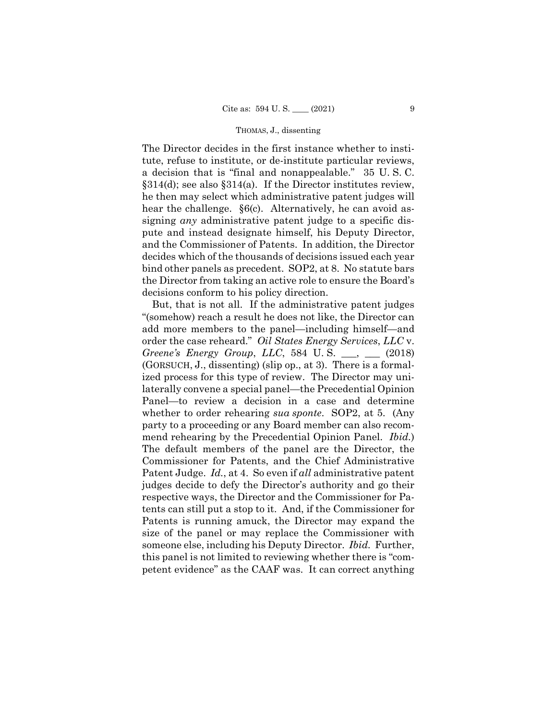The Director decides in the first instance whether to institute, refuse to institute, or de-institute particular reviews, a decision that is "final and nonappealable." 35 U. S. C.  $§314(d)$ ; see also §314(a). If the Director institutes review, he then may select which administrative patent judges will hear the challenge.  $\S6(c)$ . Alternatively, he can avoid assigning *any* administrative patent judge to a specific dispute and instead designate himself, his Deputy Director, and the Commissioner of Patents. In addition, the Director decides which of the thousands of decisions issued each year bind other panels as precedent. SOP2, at 8. No statute bars the Director from taking an active role to ensure the Board's decisions conform to his policy direction.

But, that is not all. If the administrative patent judges "(somehow) reach a result he does not like, the Director can add more members to the panel—including himself—and order the case reheard." *Oil States Energy Services*, *LLC* v. *Greene's Energy Group*, *LLC*, 584 U. S. \_\_\_, \_\_\_ (2018) (GORSUCH, J., dissenting) (slip op., at 3). There is a formalized process for this type of review. The Director may unilaterally convene a special panel—the Precedential Opinion Panel—to review a decision in a case and determine whether to order rehearing *sua sponte*. SOP2, at 5. (Any party to a proceeding or any Board member can also recommend rehearing by the Precedential Opinion Panel. *Ibid.*) The default members of the panel are the Director, the Commissioner for Patents, and the Chief Administrative Patent Judge. *Id.*, at 4. So even if *all* administrative patent judges decide to defy the Director's authority and go their respective ways, the Director and the Commissioner for Patents can still put a stop to it. And, if the Commissioner for Patents is running amuck, the Director may expand the size of the panel or may replace the Commissioner with someone else, including his Deputy Director. *Ibid.* Further, this panel is not limited to reviewing whether there is "competent evidence" as the CAAF was. It can correct anything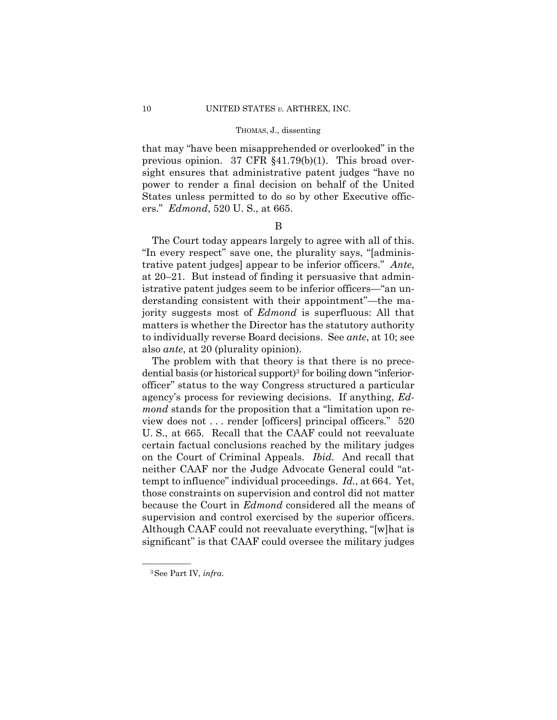that may "have been misapprehended or overlooked" in the previous opinion. 37 CFR §41.79(b)(1). This broad oversight ensures that administrative patent judges "have no power to render a final decision on behalf of the United States unless permitted to do so by other Executive officers." *Edmond*, 520 U. S., at 665.

### B

The Court today appears largely to agree with all of this. "In every respect" save one, the plurality says, "[administrative patent judges] appear to be inferior officers." *Ante*, at 20–21. But instead of finding it persuasive that administrative patent judges seem to be inferior officers—"an understanding consistent with their appointment"—the majority suggests most of *Edmond* is superfluous: All that matters is whether the Director has the statutory authority to individually reverse Board decisions. See *ante*, at 10; see also *ante*, at 20 (plurality opinion).

 on the Court of Criminal Appeals. *Ibid.* And recall that The problem with that theory is that there is no precedential basis (or historical support)<sup>3</sup> for boiling down "inferiorofficer" status to the way Congress structured a particular agency's process for reviewing decisions. If anything, *Edmond* stands for the proposition that a "limitation upon review does not . . . render [officers] principal officers." 520 U. S., at 665. Recall that the CAAF could not reevaluate certain factual conclusions reached by the military judges neither CAAF nor the Judge Advocate General could "attempt to influence" individual proceedings. *Id.*, at 664. Yet, those constraints on supervision and control did not matter because the Court in *Edmond* considered all the means of supervision and control exercised by the superior officers. Although CAAF could not reevaluate everything, "[w]hat is significant" is that CAAF could oversee the military judges

<sup>—————— 3</sup>See Part IV, *infra*.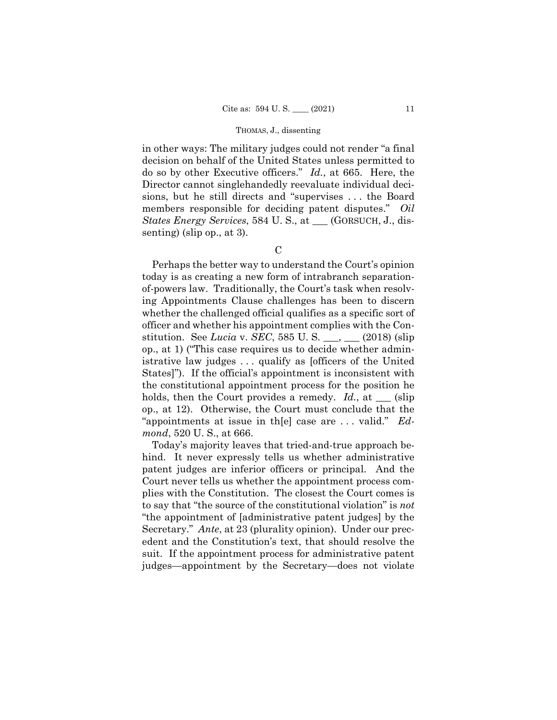in other ways: The military judges could not render "a final decision on behalf of the United States unless permitted to do so by other Executive officers." *Id.*, at 665. Here, the Director cannot singlehandedly reevaluate individual decisions, but he still directs and "supervises . . . the Board members responsible for deciding patent disputes." *Oil States Energy Services*, 584 U. S., at \_\_\_ (GORSUCH, J., dissenting) (slip op., at 3).

 $\mathcal{C}$ 

Perhaps the better way to understand the Court's opinion today is as creating a new form of intrabranch separationof-powers law. Traditionally, the Court's task when resolving Appointments Clause challenges has been to discern whether the challenged official qualifies as a specific sort of officer and whether his appointment complies with the Constitution. See *Lucia* v. *SEC*, 585 U. S. \_\_\_, \_\_\_ (2018) (slip op., at 1) ("This case requires us to decide whether administrative law judges . . . qualify as [officers of the United States]"). If the official's appointment is inconsistent with the constitutional appointment process for the position he holds, then the Court provides a remedy. *Id.*, at <u>section</u> op., at 12). Otherwise, the Court must conclude that the "appointments at issue in th[e] case are . . . valid." *Edmond*, 520 U. S., at 666.

Today's majority leaves that tried-and-true approach behind. It never expressly tells us whether administrative patent judges are inferior officers or principal. And the Court never tells us whether the appointment process complies with the Constitution. The closest the Court comes is to say that "the source of the constitutional violation" is *not*  "the appointment of [administrative patent judges] by the Secretary." *Ante*, at 23 (plurality opinion). Under our precedent and the Constitution's text, that should resolve the suit. If the appointment process for administrative patent judges—appointment by the Secretary—does not violate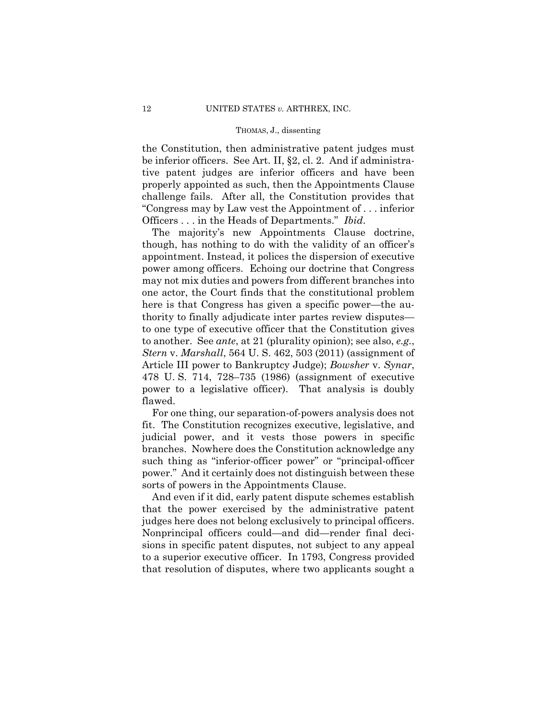the Constitution, then administrative patent judges must be inferior officers. See Art. II, §2, cl. 2. And if administrative patent judges are inferior officers and have been properly appointed as such, then the Appointments Clause challenge fails. After all, the Constitution provides that "Congress may by Law vest the Appointment of . . . inferior Officers . . . in the Heads of Departments." *Ibid*.

The majority's new Appointments Clause doctrine, though, has nothing to do with the validity of an officer's appointment. Instead, it polices the dispersion of executive power among officers. Echoing our doctrine that Congress may not mix duties and powers from different branches into one actor, the Court finds that the constitutional problem here is that Congress has given a specific power—the authority to finally adjudicate inter partes review disputes to one type of executive officer that the Constitution gives to another. See *ante*, at 21 (plurality opinion); see also, *e.g.*, *Stern* v. *Marshall*, 564 U. S. 462, 503 (2011) (assignment of Article III power to Bankruptcy Judge); *Bowsher* v. *Synar*, 478 U. S. 714, 728–735 (1986) (assignment of executive power to a legislative officer). That analysis is doubly flawed.

For one thing, our separation-of-powers analysis does not fit. The Constitution recognizes executive, legislative, and judicial power, and it vests those powers in specific branches. Nowhere does the Constitution acknowledge any such thing as "inferior-officer power" or "principal-officer power." And it certainly does not distinguish between these sorts of powers in the Appointments Clause.

And even if it did, early patent dispute schemes establish that the power exercised by the administrative patent judges here does not belong exclusively to principal officers. Nonprincipal officers could—and did—render final decisions in specific patent disputes, not subject to any appeal to a superior executive officer. In 1793, Congress provided that resolution of disputes, where two applicants sought a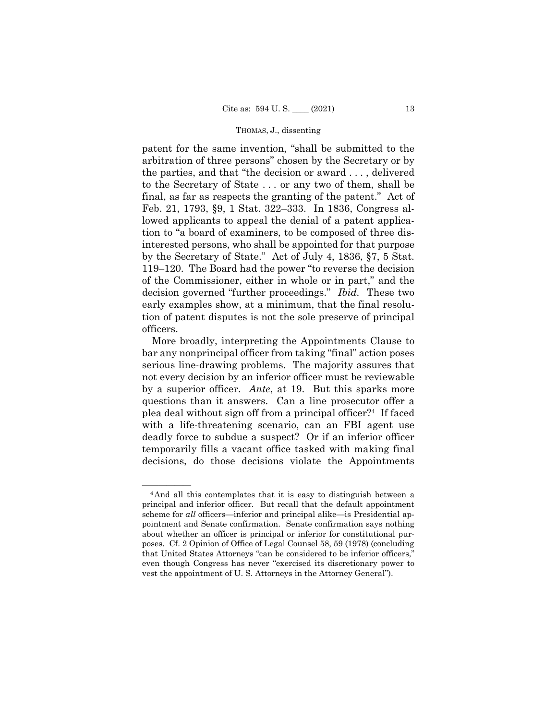patent for the same invention, "shall be submitted to the arbitration of three persons" chosen by the Secretary or by the parties, and that "the decision or award . . . , delivered to the Secretary of State . . . or any two of them, shall be final, as far as respects the granting of the patent." Act of Feb. 21, 1793, §9, 1 Stat. 322–333. In 1836, Congress allowed applicants to appeal the denial of a patent application to "a board of examiners, to be composed of three disinterested persons, who shall be appointed for that purpose by the Secretary of State." Act of July 4, 1836, §7, 5 Stat. 119–120. The Board had the power "to reverse the decision of the Commissioner, either in whole or in part," and the decision governed "further proceedings." *Ibid.* These two early examples show, at a minimum, that the final resolution of patent disputes is not the sole preserve of principal officers.

 plea deal without sign off from a principal officer?4 If faced More broadly, interpreting the Appointments Clause to bar any nonprincipal officer from taking "final" action poses serious line-drawing problems. The majority assures that not every decision by an inferior officer must be reviewable by a superior officer. *Ante*, at 19. But this sparks more questions than it answers. Can a line prosecutor offer a with a life-threatening scenario, can an FBI agent use deadly force to subdue a suspect? Or if an inferior officer temporarily fills a vacant office tasked with making final decisions, do those decisions violate the Appointments

 $\frac{1}{4}$ And all this contemplates that it is easy to distinguish between a principal and inferior officer. But recall that the default appointment scheme for *all* officers—inferior and principal alike—is Presidential appointment and Senate confirmation. Senate confirmation says nothing about whether an officer is principal or inferior for constitutional purposes. Cf. 2 Opinion of Office of Legal Counsel 58, 59 (1978) (concluding that United States Attorneys "can be considered to be inferior officers," even though Congress has never "exercised its discretionary power to vest the appointment of U. S. Attorneys in the Attorney General").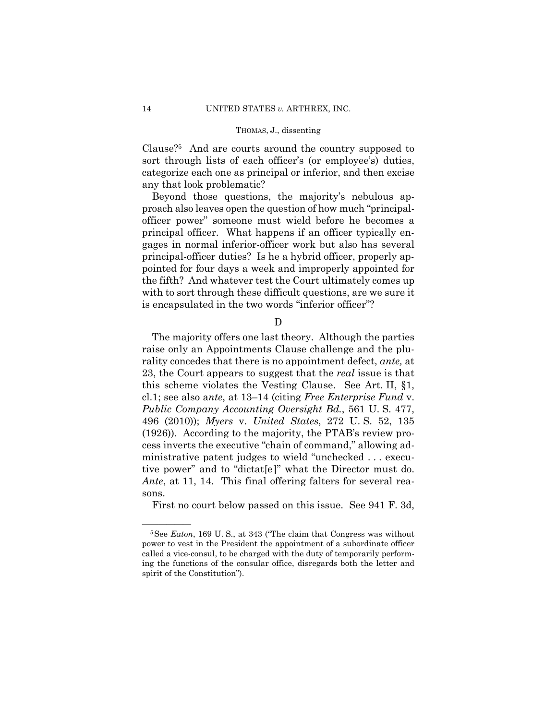Clause?5 And are courts around the country supposed to sort through lists of each officer's (or employee's) duties, categorize each one as principal or inferior, and then excise any that look problematic?

Beyond those questions, the majority's nebulous approach also leaves open the question of how much "principalofficer power" someone must wield before he becomes a principal officer. What happens if an officer typically engages in normal inferior-officer work but also has several principal-officer duties? Is he a hybrid officer, properly appointed for four days a week and improperly appointed for the fifth? And whatever test the Court ultimately comes up with to sort through these difficult questions, are we sure it is encapsulated in the two words "inferior officer"?

D

The majority offers one last theory. Although the parties raise only an Appointments Clause challenge and the plurality concedes that there is no appointment defect, *ante,* at 23, the Court appears to suggest that the *real* issue is that this scheme violates the Vesting Clause. See Art. II, §1, cl.1; see also a*nte*, at 13–14 (citing *Free Enterprise Fund* v. *Public Company Accounting Oversight Bd.*, 561 U. S. 477, 496 (2010)); *Myers* v. *United States*, 272 U. S. 52, 135 (1926)). According to the majority, the PTAB's review process inverts the executive "chain of command," allowing administrative patent judges to wield "unchecked . . . executive power" and to "dictat[e]" what the Director must do. *Ante*, at 11, 14. This final offering falters for several reasons.

First no court below passed on this issue. See 941 F. 3d,

<sup>&</sup>lt;sup>5</sup> See *Eaton*, 169 U. S., at 343 ("The claim that Congress was without power to vest in the President the appointment of a subordinate officer called a vice-consul, to be charged with the duty of temporarily performing the functions of the consular office, disregards both the letter and spirit of the Constitution").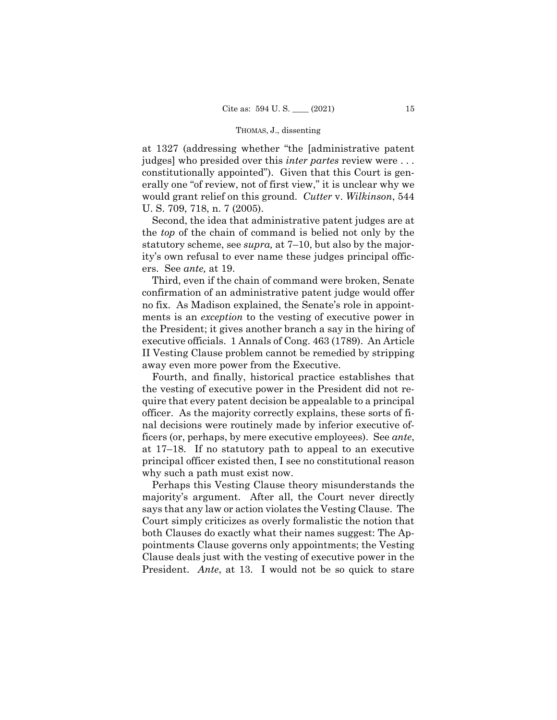judges] who presided over this *inter partes* review were . . . at 1327 (addressing whether "the [administrative patent constitutionally appointed"). Given that this Court is generally one "of review, not of first view," it is unclear why we would grant relief on this ground. *Cutter* v. *Wilkinson*, 544 U. S. 709, 718, n. 7 (2005).

Second, the idea that administrative patent judges are at the *top* of the chain of command is belied not only by the statutory scheme, see *supra,* at 7–10, but also by the majority's own refusal to ever name these judges principal officers. See *ante,* at 19.

Third, even if the chain of command were broken, Senate confirmation of an administrative patent judge would offer no fix. As Madison explained, the Senate's role in appointments is an *exception* to the vesting of executive power in the President; it gives another branch a say in the hiring of executive officials. 1 Annals of Cong. 463 (1789). An Article II Vesting Clause problem cannot be remedied by stripping away even more power from the Executive.

Fourth, and finally, historical practice establishes that the vesting of executive power in the President did not require that every patent decision be appealable to a principal officer. As the majority correctly explains, these sorts of final decisions were routinely made by inferior executive officers (or, perhaps, by mere executive employees). See *ante*, at 17–18. If no statutory path to appeal to an executive principal officer existed then, I see no constitutional reason why such a path must exist now.

Perhaps this Vesting Clause theory misunderstands the majority's argument. After all, the Court never directly says that any law or action violates the Vesting Clause. The Court simply criticizes as overly formalistic the notion that both Clauses do exactly what their names suggest: The Appointments Clause governs only appointments; the Vesting Clause deals just with the vesting of executive power in the President. *Ante*, at 13. I would not be so quick to stare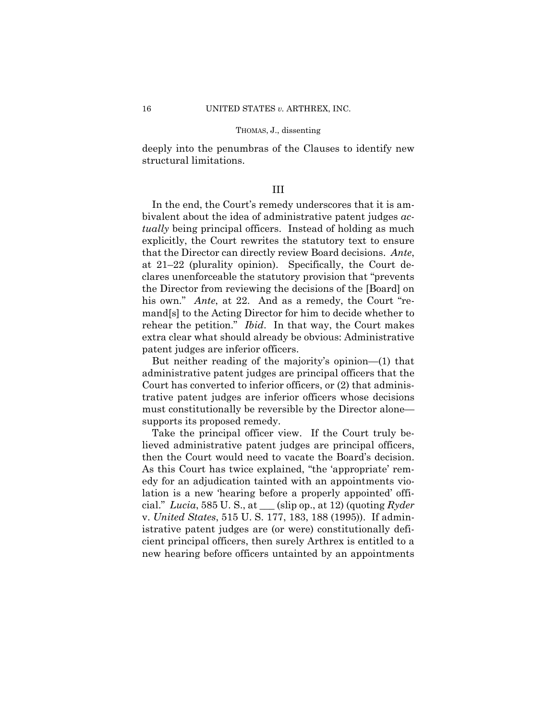deeply into the penumbras of the Clauses to identify new structural limitations.

## III

In the end, the Court's remedy underscores that it is ambivalent about the idea of administrative patent judges *actually* being principal officers. Instead of holding as much explicitly, the Court rewrites the statutory text to ensure that the Director can directly review Board decisions. *Ante*, at 21–22 (plurality opinion). Specifically, the Court declares unenforceable the statutory provision that "prevents the Director from reviewing the decisions of the [Board] on his own." *Ante*, at 22. And as a remedy, the Court "remand[s] to the Acting Director for him to decide whether to rehear the petition." *Ibid*. In that way, the Court makes extra clear what should already be obvious: Administrative patent judges are inferior officers.

But neither reading of the majority's opinion—(1) that administrative patent judges are principal officers that the Court has converted to inferior officers, or (2) that administrative patent judges are inferior officers whose decisions must constitutionally be reversible by the Director alone supports its proposed remedy.

Take the principal officer view. If the Court truly believed administrative patent judges are principal officers, then the Court would need to vacate the Board's decision. As this Court has twice explained, "the 'appropriate' remedy for an adjudication tainted with an appointments violation is a new 'hearing before a properly appointed' official." *Lucia*, 585 U. S., at \_\_\_ (slip op., at 12) (quoting *Ryder*  v. *United States*, 515 U. S. 177, 183, 188 (1995)). If administrative patent judges are (or were) constitutionally deficient principal officers, then surely Arthrex is entitled to a new hearing before officers untainted by an appointments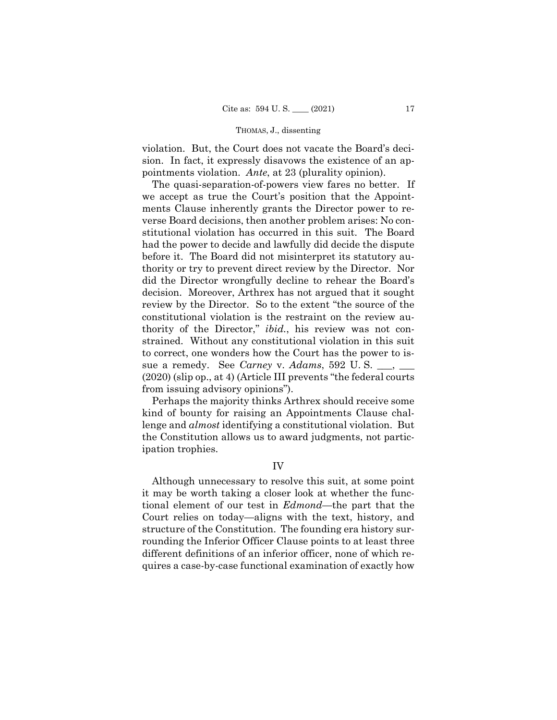violation. But, the Court does not vacate the Board's decision. In fact, it expressly disavows the existence of an appointments violation. *Ante*, at 23 (plurality opinion).

The quasi-separation-of-powers view fares no better. If we accept as true the Court's position that the Appointments Clause inherently grants the Director power to reverse Board decisions, then another problem arises: No constitutional violation has occurred in this suit. The Board had the power to decide and lawfully did decide the dispute before it. The Board did not misinterpret its statutory authority or try to prevent direct review by the Director. Nor did the Director wrongfully decline to rehear the Board's decision. Moreover, Arthrex has not argued that it sought review by the Director. So to the extent "the source of the constitutional violation is the restraint on the review authority of the Director," *ibid.*, his review was not constrained. Without any constitutional violation in this suit to correct, one wonders how the Court has the power to issue a remedy. See *Carney* v. *Adams*, 592 U. S. \_\_\_, \_\_\_ (2020) (slip op., at 4) (Article III prevents "the federal courts from issuing advisory opinions").

Perhaps the majority thinks Arthrex should receive some kind of bounty for raising an Appointments Clause challenge and *almost* identifying a constitutional violation. But the Constitution allows us to award judgments, not participation trophies.

## IV

Although unnecessary to resolve this suit, at some point it may be worth taking a closer look at whether the functional element of our test in *Edmond*—the part that the Court relies on today—aligns with the text, history, and structure of the Constitution. The founding era history surrounding the Inferior Officer Clause points to at least three different definitions of an inferior officer, none of which requires a case-by-case functional examination of exactly how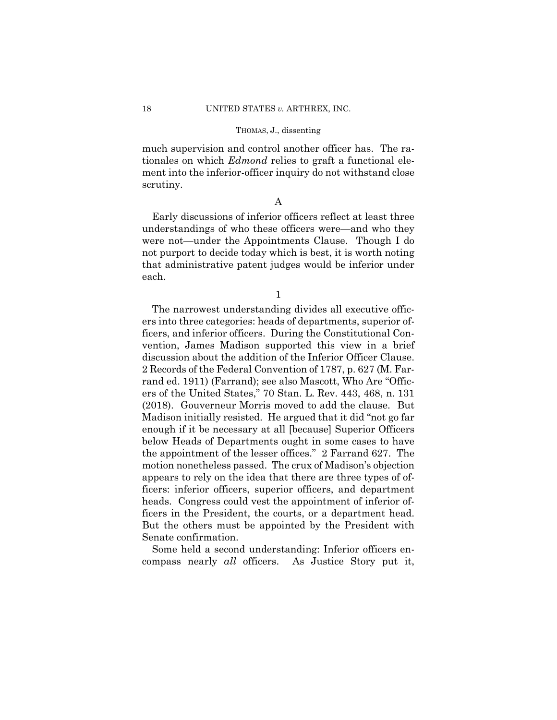much supervision and control another officer has. The rationales on which *Edmond* relies to graft a functional element into the inferior-officer inquiry do not withstand close scrutiny.

## A

Early discussions of inferior officers reflect at least three understandings of who these officers were—and who they were not—under the Appointments Clause. Though I do not purport to decide today which is best, it is worth noting that administrative patent judges would be inferior under each.

1

The narrowest understanding divides all executive officers into three categories: heads of departments, superior officers, and inferior officers. During the Constitutional Convention, James Madison supported this view in a brief discussion about the addition of the Inferior Officer Clause. 2 Records of the Federal Convention of 1787, p. 627 (M. Farrand ed. 1911) (Farrand); see also Mascott, Who Are "Officers of the United States," 70 Stan. L. Rev. 443, 468, n. 131 (2018). Gouverneur Morris moved to add the clause. But Madison initially resisted. He argued that it did "not go far enough if it be necessary at all [because] Superior Officers below Heads of Departments ought in some cases to have the appointment of the lesser offices." 2 Farrand 627. The motion nonetheless passed. The crux of Madison's objection appears to rely on the idea that there are three types of officers: inferior officers, superior officers, and department heads. Congress could vest the appointment of inferior officers in the President, the courts, or a department head. But the others must be appointed by the President with Senate confirmation.

As Justice Story put it, Some held a second understanding: Inferior officers encompass nearly *all* officers.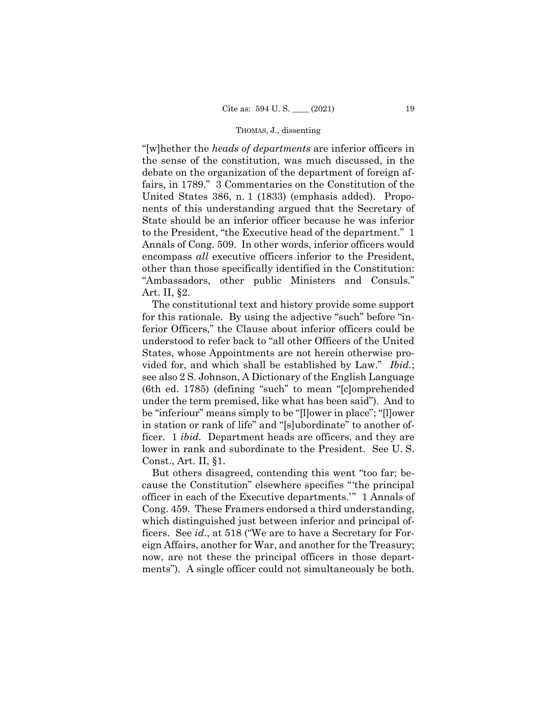"[w]hether the *heads of departments* are inferior officers in the sense of the constitution, was much discussed, in the debate on the organization of the department of foreign affairs, in 1789." 3 Commentaries on the Constitution of the United States 386, n. 1 (1833) (emphasis added). Proponents of this understanding argued that the Secretary of State should be an inferior officer because he was inferior to the President, "the Executive head of the department." 1 Annals of Cong. 509. In other words, inferior officers would encompass *all* executive officers inferior to the President, other than those specifically identified in the Constitution: "Ambassadors, other public Ministers and Consuls." Art. II, §2.

The constitutional text and history provide some support for this rationale. By using the adjective "such" before "inferior Officers," the Clause about inferior officers could be understood to refer back to "all other Officers of the United States, whose Appointments are not herein otherwise provided for, and which shall be established by Law." *Ibid.*; see also 2 S. Johnson, A Dictionary of the English Language (6th ed. 1785) (defining "such" to mean "[c]omprehended under the term premised, like what has been said"). And to be "inferiour" means simply to be "[l]ower in place"; "[l]ower in station or rank of life" and "[s]ubordinate" to another officer. 1 *ibid.* Department heads are officers, and they are lower in rank and subordinate to the President. See U. S. Const., Art. II, §1.

But others disagreed, contending this went "too far; because the Constitution" elsewhere specifies "'the principal officer in each of the Executive departments.'" 1 Annals of Cong. 459. These Framers endorsed a third understanding, which distinguished just between inferior and principal officers. See *id.*, at 518 ("We are to have a Secretary for Foreign Affairs, another for War, and another for the Treasury; now, are not these the principal officers in those departments"). A single officer could not simultaneously be both.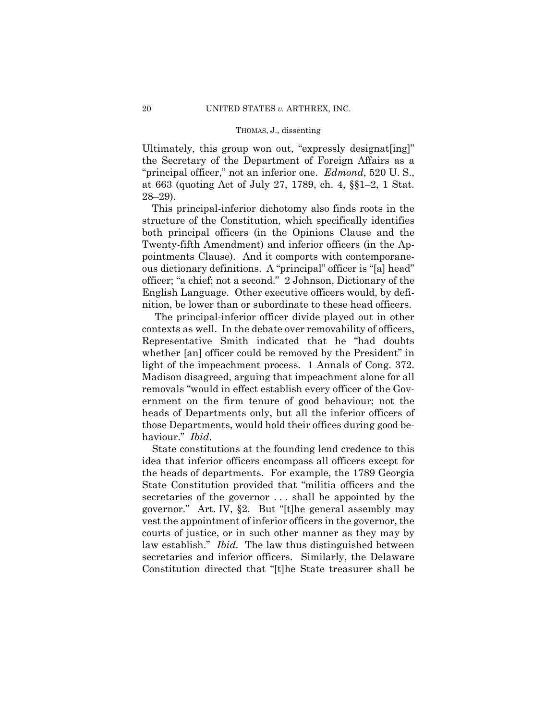Ultimately, this group won out, "expressly designat[ing]" the Secretary of the Department of Foreign Affairs as a "principal officer," not an inferior one. *Edmond*, 520 U. S., at 663 (quoting Act of July 27, 1789, ch. 4, §§1–2, 1 Stat. 28–29).

This principal-inferior dichotomy also finds roots in the structure of the Constitution, which specifically identifies both principal officers (in the Opinions Clause and the Twenty-fifth Amendment) and inferior officers (in the Appointments Clause). And it comports with contemporaneous dictionary definitions. A "principal" officer is "[a] head" officer; "a chief; not a second." 2 Johnson, Dictionary of the English Language. Other executive officers would, by definition, be lower than or subordinate to these head officers.

The principal-inferior officer divide played out in other contexts as well. In the debate over removability of officers, Representative Smith indicated that he "had doubts whether [an] officer could be removed by the President" in light of the impeachment process. 1 Annals of Cong. 372. Madison disagreed, arguing that impeachment alone for all removals "would in effect establish every officer of the Government on the firm tenure of good behaviour; not the heads of Departments only, but all the inferior officers of those Departments, would hold their offices during good behaviour." *Ibid*.

State constitutions at the founding lend credence to this idea that inferior officers encompass all officers except for the heads of departments. For example, the 1789 Georgia State Constitution provided that "militia officers and the secretaries of the governor . . . shall be appointed by the governor." Art. IV, §2. But "[t]he general assembly may vest the appointment of inferior officers in the governor, the courts of justice, or in such other manner as they may by law establish." *Ibid.* The law thus distinguished between secretaries and inferior officers. Similarly, the Delaware Constitution directed that "[t]he State treasurer shall be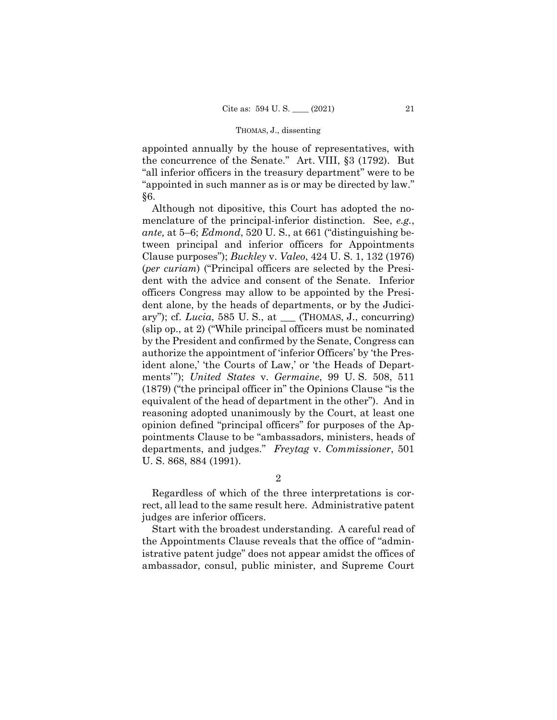appointed annually by the house of representatives, with the concurrence of the Senate." Art. VIII, §3 (1792). But "all inferior officers in the treasury department" were to be "appointed in such manner as is or may be directed by law." §6.

Although not dipositive, this Court has adopted the nomenclature of the principal-inferior distinction. See, *e.g.*, *ante,* at 5–6; *Edmond*, 520 U. S., at 661 ("distinguishing between principal and inferior officers for Appointments Clause purposes"); *Buckley* v. *Valeo*, 424 U. S. 1, 132 (1976) (*per curiam*) ("Principal officers are selected by the President with the advice and consent of the Senate. Inferior officers Congress may allow to be appointed by the President alone, by the heads of departments, or by the Judiciary"); cf. *Lucia*, 585 U. S., at \_\_\_ (THOMAS, J., concurring) (slip op., at 2) ("While principal officers must be nominated by the President and confirmed by the Senate, Congress can authorize the appointment of 'inferior Officers' by 'the President alone,' 'the Courts of Law,' or 'the Heads of Departments'"); *United States* v. *Germaine*, 99 U. S. 508, 511 (1879) ("the principal officer in" the Opinions Clause "is the equivalent of the head of department in the other"). And in reasoning adopted unanimously by the Court, at least one opinion defined "principal officers" for purposes of the Appointments Clause to be "ambassadors, ministers, heads of departments, and judges." *Freytag* v. *Commissioner*, 501 U. S. 868, 884 (1991).

2

Regardless of which of the three interpretations is correct, all lead to the same result here. Administrative patent judges are inferior officers.

Start with the broadest understanding. A careful read of the Appointments Clause reveals that the office of "administrative patent judge" does not appear amidst the offices of ambassador, consul, public minister, and Supreme Court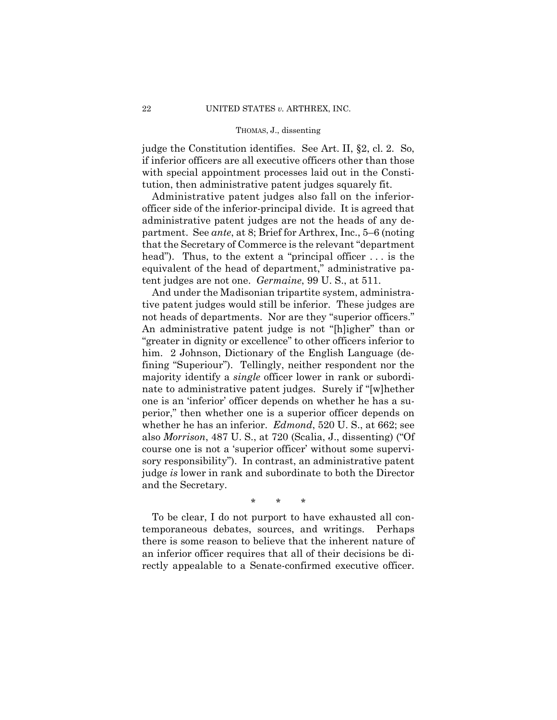judge the Constitution identifies. See Art. II, §2, cl. 2. So, if inferior officers are all executive officers other than those with special appointment processes laid out in the Constitution, then administrative patent judges squarely fit.

 tent judges are not one. *Germaine*, 99 U. S., at 511. Administrative patent judges also fall on the inferiorofficer side of the inferior-principal divide. It is agreed that administrative patent judges are not the heads of any department. See *ante*, at 8; Brief for Arthrex, Inc., 5–6 (noting that the Secretary of Commerce is the relevant "department head"). Thus, to the extent a "principal officer ... is the equivalent of the head of department," administrative pa-

And under the Madisonian tripartite system, administrative patent judges would still be inferior. These judges are not heads of departments. Nor are they "superior officers." An administrative patent judge is not "[h]igher" than or "greater in dignity or excellence" to other officers inferior to him. 2 Johnson, Dictionary of the English Language (defining "Superiour"). Tellingly, neither respondent nor the majority identify a *single* officer lower in rank or subordinate to administrative patent judges. Surely if "[w]hether one is an 'inferior' officer depends on whether he has a superior," then whether one is a superior officer depends on whether he has an inferior. *Edmond*, 520 U. S., at 662; see also *Morrison*, 487 U. S., at 720 (Scalia, J., dissenting) ("Of course one is not a 'superior officer' without some supervisory responsibility"). In contrast, an administrative patent judge *is* lower in rank and subordinate to both the Director and the Secretary.

\* \* \*

To be clear, I do not purport to have exhausted all contemporaneous debates, sources, and writings. Perhaps there is some reason to believe that the inherent nature of an inferior officer requires that all of their decisions be directly appealable to a Senate-confirmed executive officer.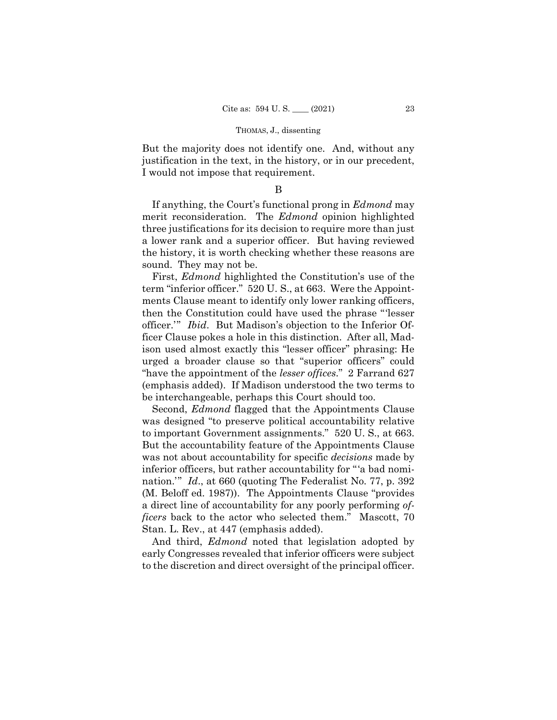But the majority does not identify one. And, without any justification in the text, in the history, or in our precedent, I would not impose that requirement.

B

If anything, the Court's functional prong in *Edmond* may merit reconsideration. The *Edmond* opinion highlighted three justifications for its decision to require more than just a lower rank and a superior officer. But having reviewed the history, it is worth checking whether these reasons are sound. They may not be.

First, *Edmond* highlighted the Constitution's use of the term "inferior officer." 520 U. S., at 663. Were the Appointments Clause meant to identify only lower ranking officers, then the Constitution could have used the phrase "'lesser officer.'" *Ibid*. But Madison's objection to the Inferior Officer Clause pokes a hole in this distinction. After all, Madison used almost exactly this "lesser officer" phrasing: He urged a broader clause so that "superior officers" could "have the appointment of the *lesser offices*." 2 Farrand 627 (emphasis added). If Madison understood the two terms to be interchangeable, perhaps this Court should too.

Second, *Edmond* flagged that the Appointments Clause was designed "to preserve political accountability relative to important Government assignments." 520 U. S., at 663. But the accountability feature of the Appointments Clause was not about accountability for specific *decisions* made by inferior officers, but rather accountability for "'a bad nomination.'" *Id*., at 660 (quoting The Federalist No. 77, p. 392 (M. Beloff ed. 1987)). The Appointments Clause "provides a direct line of accountability for any poorly performing *officers* back to the actor who selected them." Mascott, 70 Stan. L. Rev., at 447 (emphasis added).

And third, *Edmond* noted that legislation adopted by early Congresses revealed that inferior officers were subject to the discretion and direct oversight of the principal officer.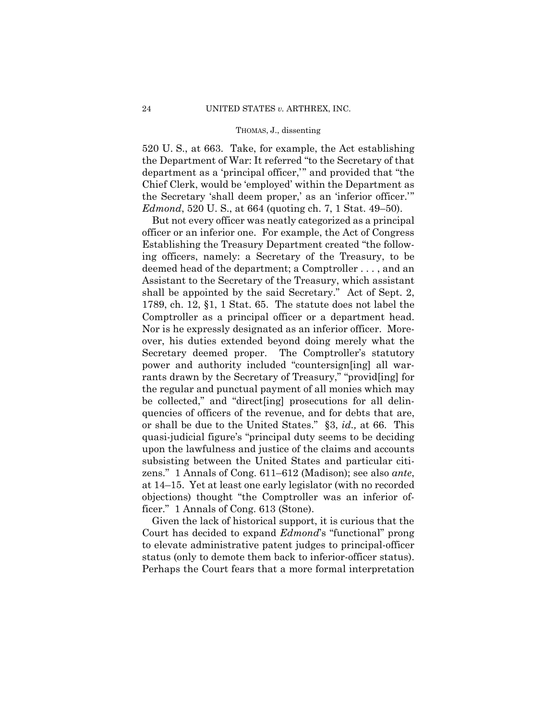520 U. S., at 663. Take, for example, the Act establishing the Department of War: It referred "to the Secretary of that department as a 'principal officer,'" and provided that "the Chief Clerk, would be 'employed' within the Department as the Secretary 'shall deem proper,' as an 'inferior officer.'" *Edmond*, 520 U. S., at 664 (quoting ch. 7, 1 Stat. 49–50).

But not every officer was neatly categorized as a principal officer or an inferior one. For example, the Act of Congress Establishing the Treasury Department created "the following officers, namely: a Secretary of the Treasury, to be deemed head of the department; a Comptroller . . . , and an Assistant to the Secretary of the Treasury, which assistant shall be appointed by the said Secretary." Act of Sept. 2, 1789, ch. 12, §1, 1 Stat. 65. The statute does not label the Comptroller as a principal officer or a department head. Nor is he expressly designated as an inferior officer. Moreover, his duties extended beyond doing merely what the Secretary deemed proper. The Comptroller's statutory power and authority included "countersign[ing] all warrants drawn by the Secretary of Treasury," "provid[ing] for the regular and punctual payment of all monies which may be collected," and "direct[ing] prosecutions for all delinquencies of officers of the revenue, and for debts that are, or shall be due to the United States." §3, *id.,* at 66. This quasi-judicial figure's "principal duty seems to be deciding upon the lawfulness and justice of the claims and accounts subsisting between the United States and particular citizens." 1 Annals of Cong. 611–612 (Madison); see also *ante*, at 14–15. Yet at least one early legislator (with no recorded objections) thought "the Comptroller was an inferior officer." 1 Annals of Cong. 613 (Stone).

 status (only to demote them back to inferior-officer status). Given the lack of historical support, it is curious that the Court has decided to expand *Edmond*'s "functional" prong to elevate administrative patent judges to principal-officer Perhaps the Court fears that a more formal interpretation